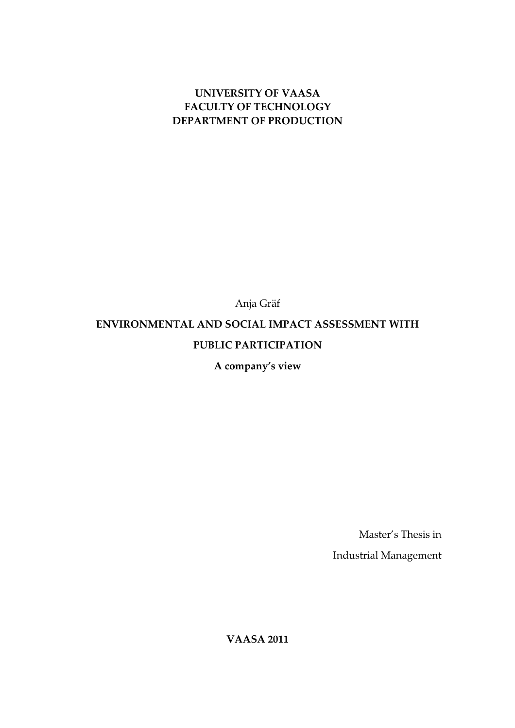## UNIVERSITY OF VAASA FACULTY OF TECHNOLOGY DEPARTMENT OF PRODUCTION

Anja Gräf

## ENVIRONMENTAL AND SOCIAL IMPACT ASSESSMENT WITH

## PUBLIC PARTICIPATION

A company's view

Master's Thesis in

Industrial Management

VAASA 2011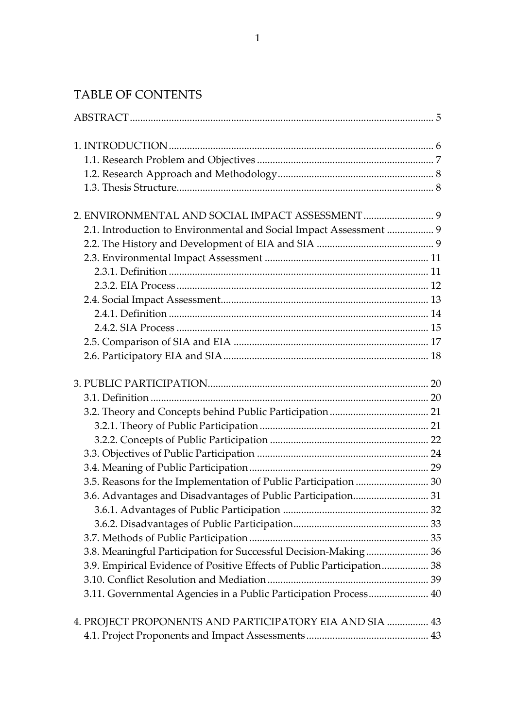# TABLE OF CONTENTS

| 2.1. Introduction to Environmental and Social Impact Assessment  9     |  |
|------------------------------------------------------------------------|--|
|                                                                        |  |
|                                                                        |  |
|                                                                        |  |
|                                                                        |  |
|                                                                        |  |
|                                                                        |  |
|                                                                        |  |
|                                                                        |  |
|                                                                        |  |
|                                                                        |  |
|                                                                        |  |
|                                                                        |  |
|                                                                        |  |
|                                                                        |  |
|                                                                        |  |
|                                                                        |  |
| 3.5. Reasons for the Implementation of Public Participation  30        |  |
|                                                                        |  |
|                                                                        |  |
|                                                                        |  |
|                                                                        |  |
| 3.8. Meaningful Participation for Successful Decision-Making 36        |  |
| 3.9. Empirical Evidence of Positive Effects of Public Participation 38 |  |
|                                                                        |  |
| 3.11. Governmental Agencies in a Public Participation Process 40       |  |
| 43. PROJECT PROPONENTS AND PARTICIPATORY EIA AND SIA  43               |  |
|                                                                        |  |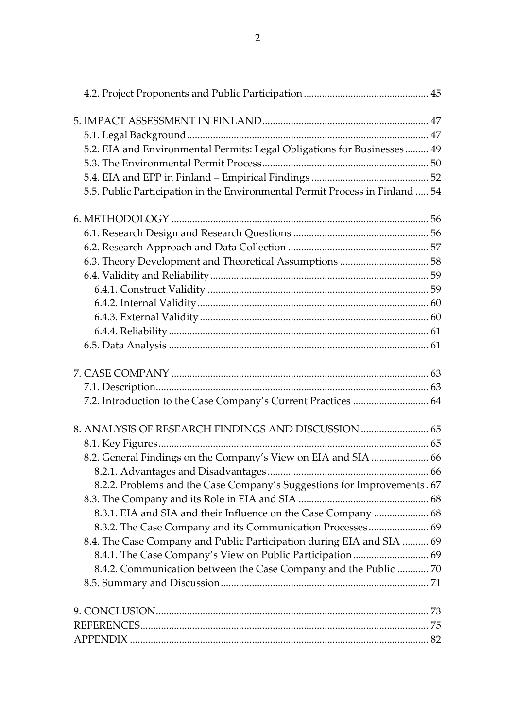| 5.2. EIA and Environmental Permits: Legal Obligations for Businesses 49      |  |
|------------------------------------------------------------------------------|--|
|                                                                              |  |
|                                                                              |  |
| 5.5. Public Participation in the Environmental Permit Process in Finland  54 |  |
|                                                                              |  |
|                                                                              |  |
|                                                                              |  |
| 6.3. Theory Development and Theoretical Assumptions  58                      |  |
|                                                                              |  |
|                                                                              |  |
|                                                                              |  |
|                                                                              |  |
|                                                                              |  |
|                                                                              |  |
|                                                                              |  |
|                                                                              |  |
| 7.2. Introduction to the Case Company's Current Practices  64                |  |
| 8. ANALYSIS OF RESEARCH FINDINGS AND DISCUSSION  65                          |  |
|                                                                              |  |
| 8.2. General Findings on the Company's View on EIA and SIA  66               |  |
|                                                                              |  |
| 8.2.2. Problems and the Case Company's Suggestions for Improvements. 67      |  |
|                                                                              |  |
| 8.3.1. EIA and SIA and their Influence on the Case Company  68               |  |
| 8.3.2. The Case Company and its Communication Processes  69                  |  |
| 8.4. The Case Company and Public Participation during EIA and SIA  69        |  |
|                                                                              |  |
| 8.4.2. Communication between the Case Company and the Public  70             |  |
|                                                                              |  |
|                                                                              |  |
|                                                                              |  |
|                                                                              |  |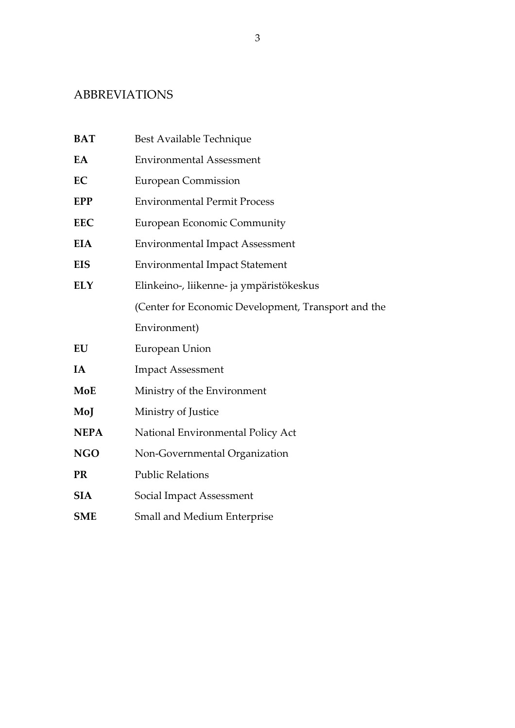# ABBREVIATIONS

| <b>BAT</b>  | Best Available Technique                            |  |  |  |  |
|-------------|-----------------------------------------------------|--|--|--|--|
| EA          | <b>Environmental Assessment</b>                     |  |  |  |  |
| EC          | <b>European Commission</b>                          |  |  |  |  |
| <b>EPP</b>  | <b>Environmental Permit Process</b>                 |  |  |  |  |
| <b>EEC</b>  | <b>European Economic Community</b>                  |  |  |  |  |
| <b>EIA</b>  | <b>Environmental Impact Assessment</b>              |  |  |  |  |
| <b>EIS</b>  | <b>Environmental Impact Statement</b>               |  |  |  |  |
| <b>ELY</b>  | Elinkeino-, liikenne- ja ympäristökeskus            |  |  |  |  |
|             | (Center for Economic Development, Transport and the |  |  |  |  |
|             | Environment)                                        |  |  |  |  |
| EU          | European Union                                      |  |  |  |  |
| IA          | <b>Impact Assessment</b>                            |  |  |  |  |
| MoE         | Ministry of the Environment                         |  |  |  |  |
| MoJ         | Ministry of Justice                                 |  |  |  |  |
| <b>NEPA</b> | National Environmental Policy Act                   |  |  |  |  |
| <b>NGO</b>  | Non-Governmental Organization                       |  |  |  |  |
| <b>PR</b>   | <b>Public Relations</b>                             |  |  |  |  |
| <b>SIA</b>  | Social Impact Assessment                            |  |  |  |  |
| <b>SME</b>  | <b>Small and Medium Enterprise</b>                  |  |  |  |  |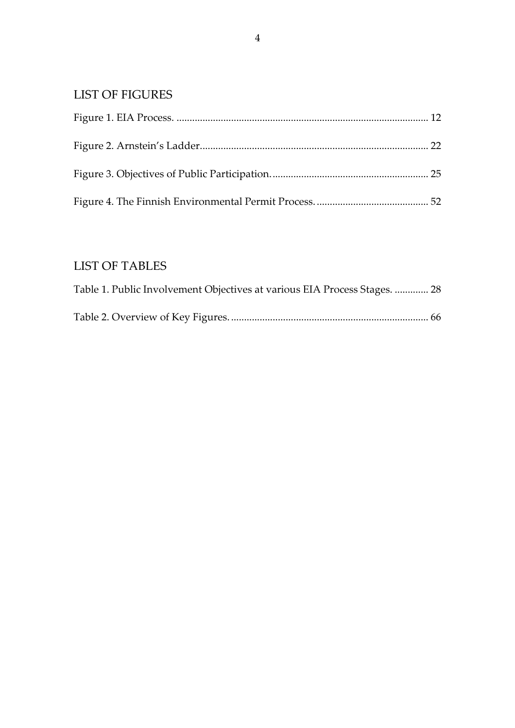# LIST OF FIGURES

# LIST OF TABLES

| Table 1. Public Involvement Objectives at various EIA Process Stages.  28 |  |
|---------------------------------------------------------------------------|--|
|                                                                           |  |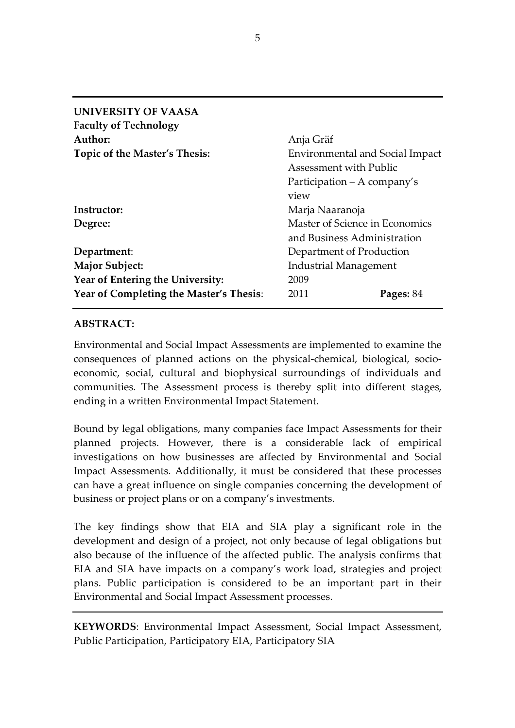| <b>UNIVERSITY OF VAASA</b>              |                                        |  |  |  |
|-----------------------------------------|----------------------------------------|--|--|--|
| <b>Faculty of Technology</b>            |                                        |  |  |  |
| Author:                                 | Anja Gräf                              |  |  |  |
| Topic of the Master's Thesis:           | <b>Environmental and Social Impact</b> |  |  |  |
|                                         | <b>Assessment with Public</b>          |  |  |  |
|                                         | Participation – A company's            |  |  |  |
|                                         | view                                   |  |  |  |
| Instructor:                             | Marja Naaranoja                        |  |  |  |
| Degree:                                 | Master of Science in Economics         |  |  |  |
|                                         | and Business Administration            |  |  |  |
| Department:                             | Department of Production               |  |  |  |
| <b>Major Subject:</b>                   | <b>Industrial Management</b>           |  |  |  |
| Year of Entering the University:        | 2009                                   |  |  |  |
| Year of Completing the Master's Thesis: | 2011<br>Pages: 84                      |  |  |  |

## ABSTRACT:

Environmental and Social Impact Assessments are implemented to examine the consequences of planned actions on the physical-chemical, biological, socioeconomic, social, cultural and biophysical surroundings of individuals and communities. The Assessment process is thereby split into different stages, ending in a written Environmental Impact Statement.

Bound by legal obligations, many companies face Impact Assessments for their planned projects. However, there is a considerable lack of empirical investigations on how businesses are affected by Environmental and Social Impact Assessments. Additionally, it must be considered that these processes can have a great influence on single companies concerning the development of business or project plans or on a company's investments.

The key findings show that EIA and SIA play a significant role in the development and design of a project, not only because of legal obligations but also because of the influence of the affected public. The analysis confirms that EIA and SIA have impacts on a company's work load, strategies and project plans. Public participation is considered to be an important part in their Environmental and Social Impact Assessment processes.

KEYWORDS: Environmental Impact Assessment, Social Impact Assessment, Public Participation, Participatory EIA, Participatory SIA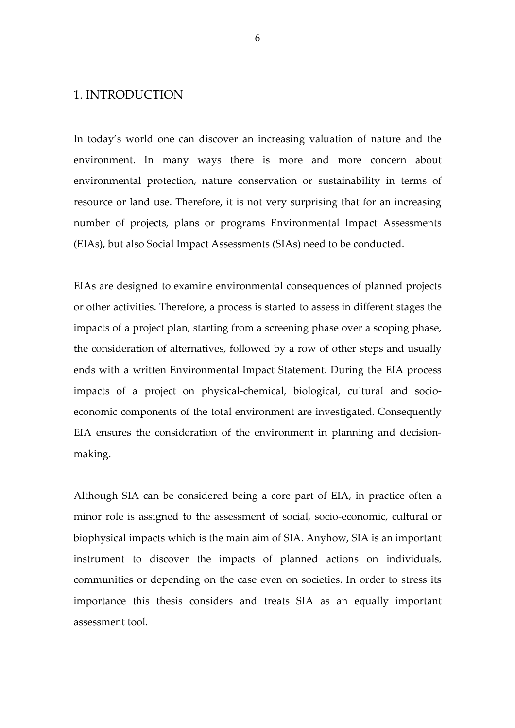### 1. INTRODUCTION

In today's world one can discover an increasing valuation of nature and the environment. In many ways there is more and more concern about environmental protection, nature conservation or sustainability in terms of resource or land use. Therefore, it is not very surprising that for an increasing number of projects, plans or programs Environmental Impact Assessments (EIAs), but also Social Impact Assessments (SIAs) need to be conducted.

EIAs are designed to examine environmental consequences of planned projects or other activities. Therefore, a process is started to assess in different stages the impacts of a project plan, starting from a screening phase over a scoping phase, the consideration of alternatives, followed by a row of other steps and usually ends with a written Environmental Impact Statement. During the EIA process impacts of a project on physical-chemical, biological, cultural and socioeconomic components of the total environment are investigated. Consequently EIA ensures the consideration of the environment in planning and decisionmaking.

Although SIA can be considered being a core part of EIA, in practice often a minor role is assigned to the assessment of social, socio-economic, cultural or biophysical impacts which is the main aim of SIA. Anyhow, SIA is an important instrument to discover the impacts of planned actions on individuals, communities or depending on the case even on societies. In order to stress its importance this thesis considers and treats SIA as an equally important assessment tool.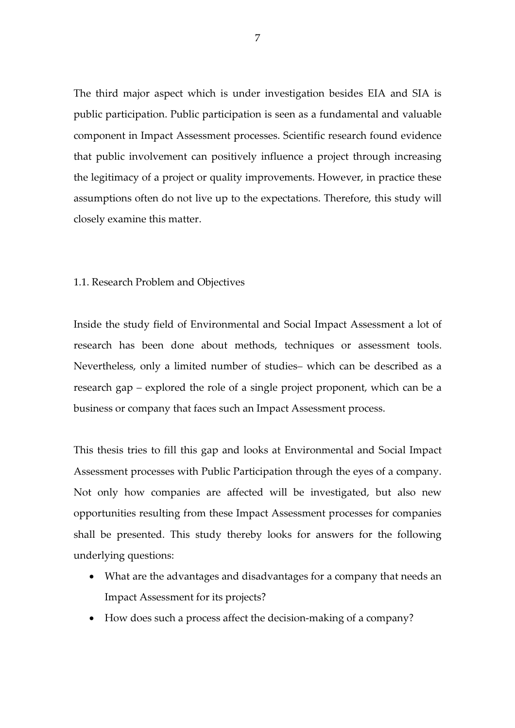The third major aspect which is under investigation besides EIA and SIA is public participation. Public participation is seen as a fundamental and valuable component in Impact Assessment processes. Scientific research found evidence that public involvement can positively influence a project through increasing the legitimacy of a project or quality improvements. However, in practice these assumptions often do not live up to the expectations. Therefore, this study will closely examine this matter.

#### 1.1. Research Problem and Objectives

Inside the study field of Environmental and Social Impact Assessment a lot of research has been done about methods, techniques or assessment tools. Nevertheless, only a limited number of studies– which can be described as a research gap – explored the role of a single project proponent, which can be a business or company that faces such an Impact Assessment process.

This thesis tries to fill this gap and looks at Environmental and Social Impact Assessment processes with Public Participation through the eyes of a company. Not only how companies are affected will be investigated, but also new opportunities resulting from these Impact Assessment processes for companies shall be presented. This study thereby looks for answers for the following underlying questions:

- What are the advantages and disadvantages for a company that needs an Impact Assessment for its projects?
- How does such a process affect the decision-making of a company?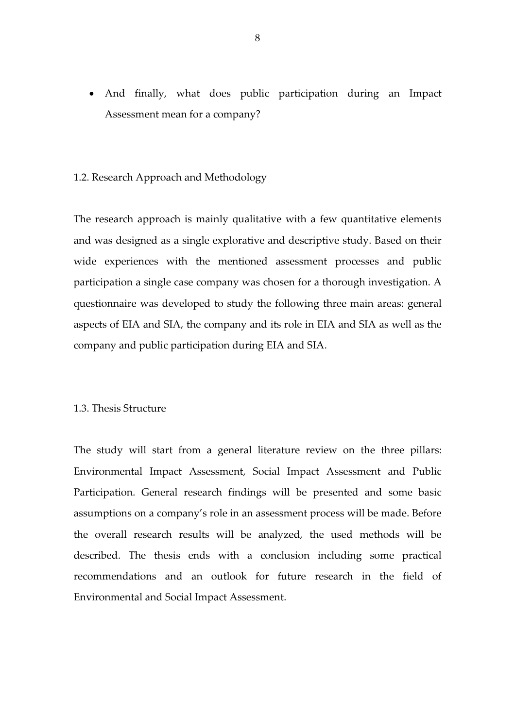• And finally, what does public participation during an Impact Assessment mean for a company?

#### 1.2. Research Approach and Methodology

The research approach is mainly qualitative with a few quantitative elements and was designed as a single explorative and descriptive study. Based on their wide experiences with the mentioned assessment processes and public participation a single case company was chosen for a thorough investigation. A questionnaire was developed to study the following three main areas: general aspects of EIA and SIA, the company and its role in EIA and SIA as well as the company and public participation during EIA and SIA.

#### 1.3. Thesis Structure

The study will start from a general literature review on the three pillars: Environmental Impact Assessment, Social Impact Assessment and Public Participation. General research findings will be presented and some basic assumptions on a company's role in an assessment process will be made. Before the overall research results will be analyzed, the used methods will be described. The thesis ends with a conclusion including some practical recommendations and an outlook for future research in the field of Environmental and Social Impact Assessment.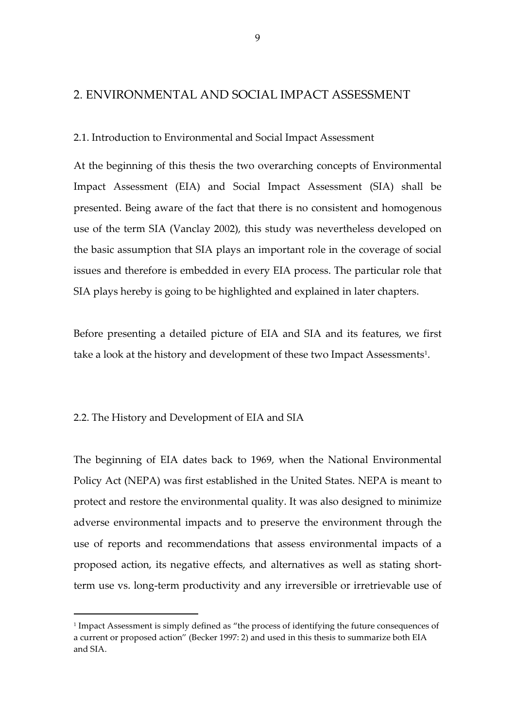### 2. ENVIRONMENTAL AND SOCIAL IMPACT ASSESSMENT

2.1. Introduction to Environmental and Social Impact Assessment

At the beginning of this thesis the two overarching concepts of Environmental Impact Assessment (EIA) and Social Impact Assessment (SIA) shall be presented. Being aware of the fact that there is no consistent and homogenous use of the term SIA (Vanclay 2002), this study was nevertheless developed on the basic assumption that SIA plays an important role in the coverage of social issues and therefore is embedded in every EIA process. The particular role that SIA plays hereby is going to be highlighted and explained in later chapters.

Before presenting a detailed picture of EIA and SIA and its features, we first take a look at the history and development of these two Impact Assessments<sup>1</sup>.

#### 2.2. The History and Development of EIA and SIA

 $\overline{a}$ 

The beginning of EIA dates back to 1969, when the National Environmental Policy Act (NEPA) was first established in the United States. NEPA is meant to protect and restore the environmental quality. It was also designed to minimize adverse environmental impacts and to preserve the environment through the use of reports and recommendations that assess environmental impacts of a proposed action, its negative effects, and alternatives as well as stating shortterm use vs. long-term productivity and any irreversible or irretrievable use of

<sup>&</sup>lt;sup>1</sup> Impact Assessment is simply defined as "the process of identifying the future consequences of a current or proposed action" (Becker 1997: 2) and used in this thesis to summarize both EIA and SIA.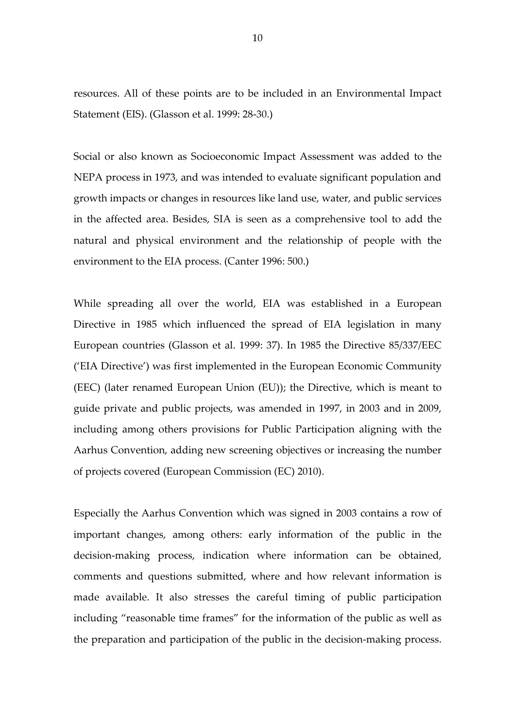resources. All of these points are to be included in an Environmental Impact Statement (EIS). (Glasson et al. 1999: 28-30.)

Social or also known as Socioeconomic Impact Assessment was added to the NEPA process in 1973, and was intended to evaluate significant population and growth impacts or changes in resources like land use, water, and public services in the affected area. Besides, SIA is seen as a comprehensive tool to add the natural and physical environment and the relationship of people with the environment to the EIA process. (Canter 1996: 500.)

While spreading all over the world, EIA was established in a European Directive in 1985 which influenced the spread of EIA legislation in many European countries (Glasson et al. 1999: 37). In 1985 the Directive 85/337/EEC ('EIA Directive') was first implemented in the European Economic Community (EEC) (later renamed European Union (EU)); the Directive, which is meant to guide private and public projects, was amended in 1997, in 2003 and in 2009, including among others provisions for Public Participation aligning with the Aarhus Convention, adding new screening objectives or increasing the number of projects covered (European Commission (EC) 2010).

Especially the Aarhus Convention which was signed in 2003 contains a row of important changes, among others: early information of the public in the decision-making process, indication where information can be obtained, comments and questions submitted, where and how relevant information is made available. It also stresses the careful timing of public participation including "reasonable time frames" for the information of the public as well as the preparation and participation of the public in the decision-making process.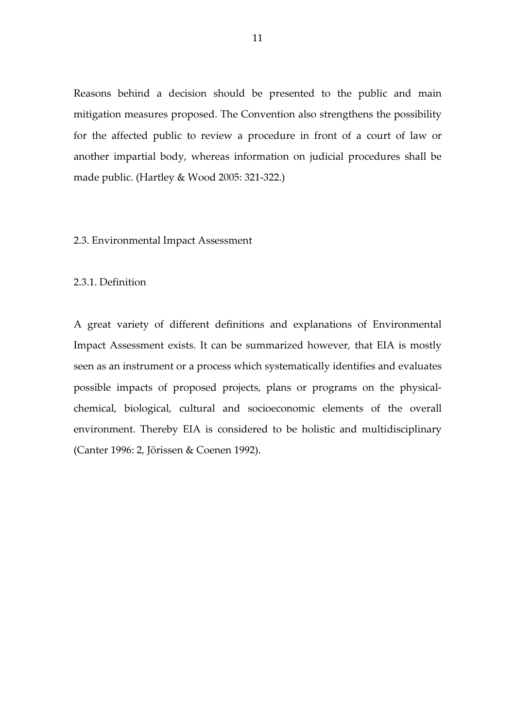Reasons behind a decision should be presented to the public and main mitigation measures proposed. The Convention also strengthens the possibility for the affected public to review a procedure in front of a court of law or another impartial body, whereas information on judicial procedures shall be made public. (Hartley & Wood 2005: 321-322.)

#### 2.3. Environmental Impact Assessment

#### 2.3.1. Definition

A great variety of different definitions and explanations of Environmental Impact Assessment exists. It can be summarized however, that EIA is mostly seen as an instrument or a process which systematically identifies and evaluates possible impacts of proposed projects, plans or programs on the physicalchemical, biological, cultural and socioeconomic elements of the overall environment. Thereby EIA is considered to be holistic and multidisciplinary (Canter 1996: 2, Jörissen & Coenen 1992).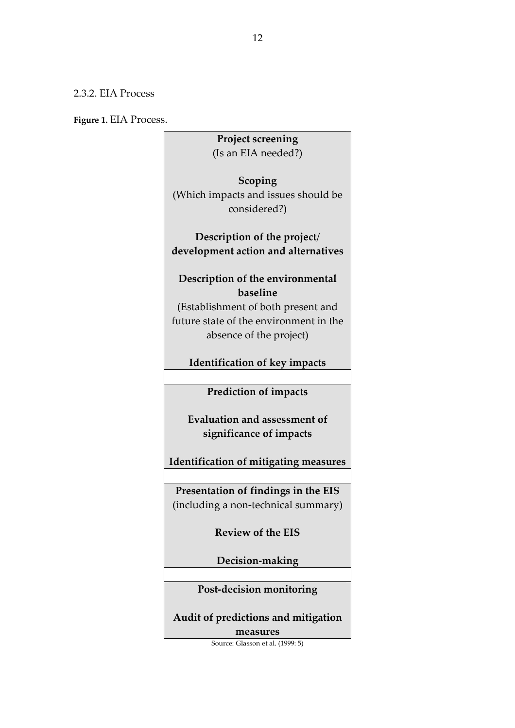### 2.3.2. EIA Process

Figure 1. EIA Process.

Project screening (Is an EIA needed?) Scoping (Which impacts and issues should be considered?) Description of the project/ development action and alternatives Description of the environmental baseline (Establishment of both present and future state of the environment in the absence of the project) Identification of key impacts Prediction of impacts Evaluation and assessment of significance of impacts Identification of mitigating measures Presentation of findings in the EIS (including a non-technical summary) Review of the EIS Decision-making Post-decision monitoring Audit of predictions and mitigation measures

Source: Glasson et al. (1999: 5)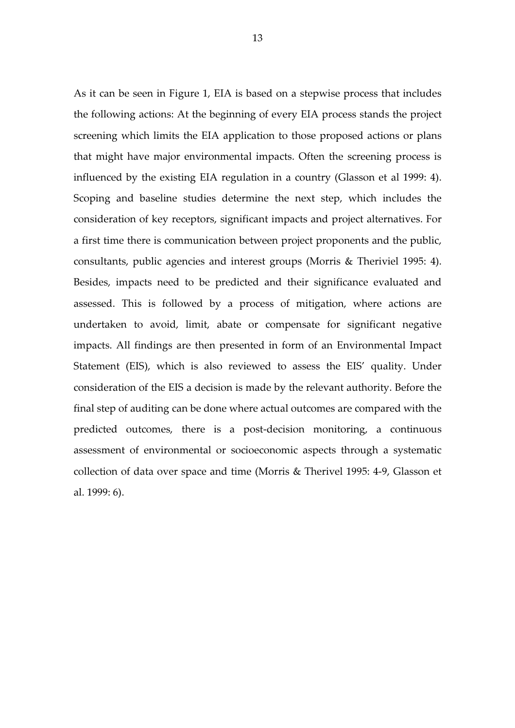As it can be seen in Figure 1, EIA is based on a stepwise process that includes the following actions: At the beginning of every EIA process stands the project screening which limits the EIA application to those proposed actions or plans that might have major environmental impacts. Often the screening process is influenced by the existing EIA regulation in a country (Glasson et al 1999: 4). Scoping and baseline studies determine the next step, which includes the consideration of key receptors, significant impacts and project alternatives. For a first time there is communication between project proponents and the public, consultants, public agencies and interest groups (Morris & Theriviel 1995: 4). Besides, impacts need to be predicted and their significance evaluated and assessed. This is followed by a process of mitigation, where actions are undertaken to avoid, limit, abate or compensate for significant negative impacts. All findings are then presented in form of an Environmental Impact Statement (EIS), which is also reviewed to assess the EIS' quality. Under consideration of the EIS a decision is made by the relevant authority. Before the final step of auditing can be done where actual outcomes are compared with the predicted outcomes, there is a post-decision monitoring, a continuous assessment of environmental or socioeconomic aspects through a systematic collection of data over space and time (Morris & Therivel 1995: 4-9, Glasson et al. 1999: 6).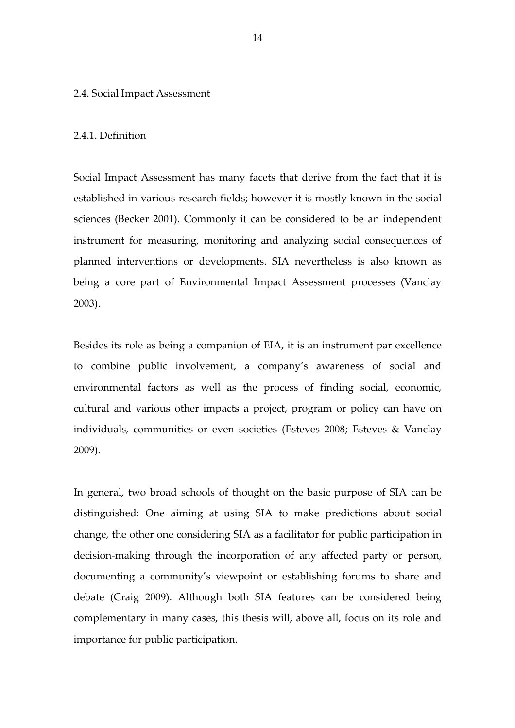#### 2.4. Social Impact Assessment

#### 2.4.1. Definition

Social Impact Assessment has many facets that derive from the fact that it is established in various research fields; however it is mostly known in the social sciences (Becker 2001). Commonly it can be considered to be an independent instrument for measuring, monitoring and analyzing social consequences of planned interventions or developments. SIA nevertheless is also known as being a core part of Environmental Impact Assessment processes (Vanclay 2003).

Besides its role as being a companion of EIA, it is an instrument par excellence to combine public involvement, a company's awareness of social and environmental factors as well as the process of finding social, economic, cultural and various other impacts a project, program or policy can have on individuals, communities or even societies (Esteves 2008; Esteves & Vanclay 2009).

In general, two broad schools of thought on the basic purpose of SIA can be distinguished: One aiming at using SIA to make predictions about social change, the other one considering SIA as a facilitator for public participation in decision-making through the incorporation of any affected party or person, documenting a community's viewpoint or establishing forums to share and debate (Craig 2009). Although both SIA features can be considered being complementary in many cases, this thesis will, above all, focus on its role and importance for public participation.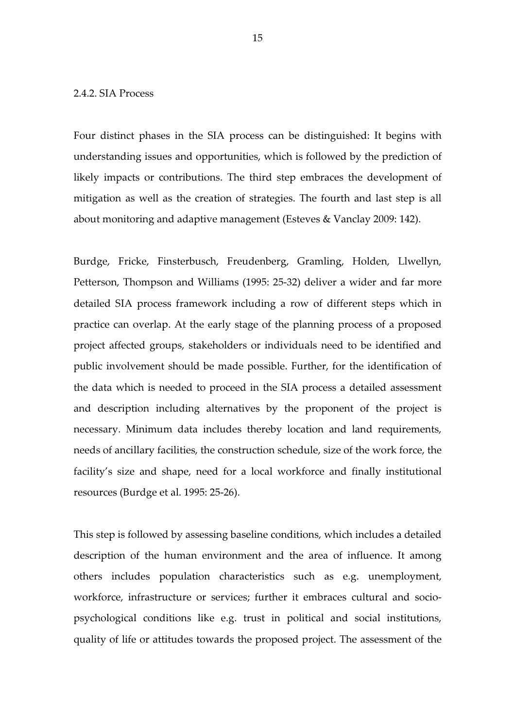#### 2.4.2. SIA Process

Four distinct phases in the SIA process can be distinguished: It begins with understanding issues and opportunities, which is followed by the prediction of likely impacts or contributions. The third step embraces the development of mitigation as well as the creation of strategies. The fourth and last step is all about monitoring and adaptive management (Esteves & Vanclay 2009: 142).

Burdge, Fricke, Finsterbusch, Freudenberg, Gramling, Holden, Llwellyn, Petterson, Thompson and Williams (1995: 25-32) deliver a wider and far more detailed SIA process framework including a row of different steps which in practice can overlap. At the early stage of the planning process of a proposed project affected groups, stakeholders or individuals need to be identified and public involvement should be made possible. Further, for the identification of the data which is needed to proceed in the SIA process a detailed assessment and description including alternatives by the proponent of the project is necessary. Minimum data includes thereby location and land requirements, needs of ancillary facilities, the construction schedule, size of the work force, the facility's size and shape, need for a local workforce and finally institutional resources (Burdge et al. 1995: 25-26).

This step is followed by assessing baseline conditions, which includes a detailed description of the human environment and the area of influence. It among others includes population characteristics such as e.g. unemployment, workforce, infrastructure or services; further it embraces cultural and sociopsychological conditions like e.g. trust in political and social institutions, quality of life or attitudes towards the proposed project. The assessment of the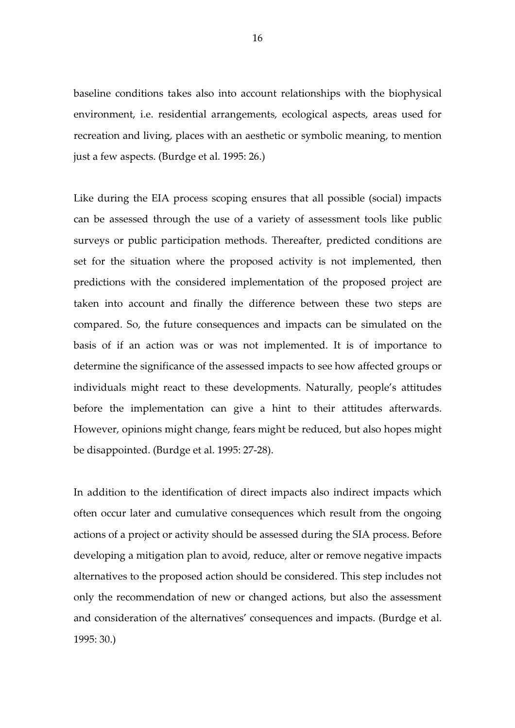baseline conditions takes also into account relationships with the biophysical environment, i.e. residential arrangements, ecological aspects, areas used for recreation and living, places with an aesthetic or symbolic meaning, to mention just a few aspects. (Burdge et al. 1995: 26.)

Like during the EIA process scoping ensures that all possible (social) impacts can be assessed through the use of a variety of assessment tools like public surveys or public participation methods. Thereafter, predicted conditions are set for the situation where the proposed activity is not implemented, then predictions with the considered implementation of the proposed project are taken into account and finally the difference between these two steps are compared. So, the future consequences and impacts can be simulated on the basis of if an action was or was not implemented. It is of importance to determine the significance of the assessed impacts to see how affected groups or individuals might react to these developments. Naturally, people's attitudes before the implementation can give a hint to their attitudes afterwards. However, opinions might change, fears might be reduced, but also hopes might be disappointed. (Burdge et al. 1995: 27-28).

In addition to the identification of direct impacts also indirect impacts which often occur later and cumulative consequences which result from the ongoing actions of a project or activity should be assessed during the SIA process. Before developing a mitigation plan to avoid, reduce, alter or remove negative impacts alternatives to the proposed action should be considered. This step includes not only the recommendation of new or changed actions, but also the assessment and consideration of the alternatives' consequences and impacts. (Burdge et al. 1995: 30.)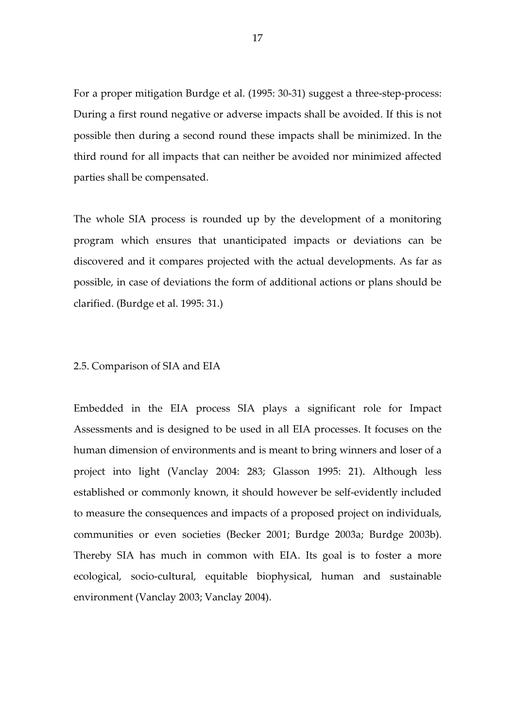For a proper mitigation Burdge et al. (1995: 30-31) suggest a three-step-process: During a first round negative or adverse impacts shall be avoided. If this is not possible then during a second round these impacts shall be minimized. In the third round for all impacts that can neither be avoided nor minimized affected parties shall be compensated.

The whole SIA process is rounded up by the development of a monitoring program which ensures that unanticipated impacts or deviations can be discovered and it compares projected with the actual developments. As far as possible, in case of deviations the form of additional actions or plans should be clarified. (Burdge et al. 1995: 31.)

#### 2.5. Comparison of SIA and EIA

Embedded in the EIA process SIA plays a significant role for Impact Assessments and is designed to be used in all EIA processes. It focuses on the human dimension of environments and is meant to bring winners and loser of a project into light (Vanclay 2004: 283; Glasson 1995: 21). Although less established or commonly known, it should however be self-evidently included to measure the consequences and impacts of a proposed project on individuals, communities or even societies (Becker 2001; Burdge 2003a; Burdge 2003b). Thereby SIA has much in common with EIA. Its goal is to foster a more ecological, socio-cultural, equitable biophysical, human and sustainable environment (Vanclay 2003; Vanclay 2004).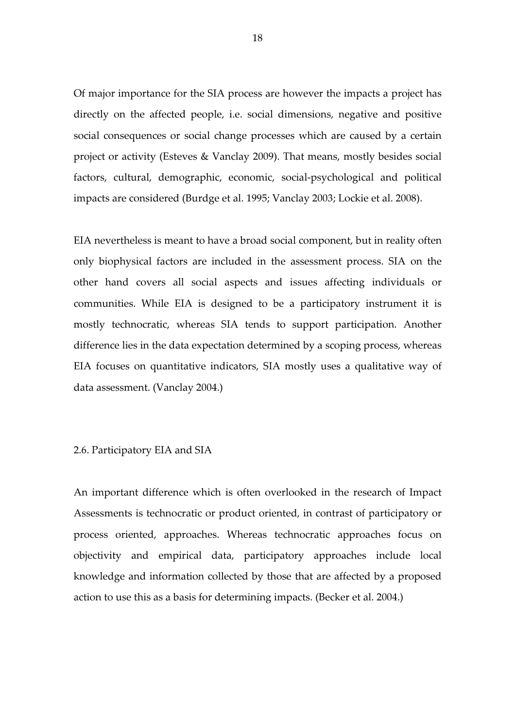Of major importance for the SIA process are however the impacts a project has directly on the affected people, i.e. social dimensions, negative and positive social consequences or social change processes which are caused by a certain project or activity (Esteves & Vanclay 2009). That means, mostly besides social factors, cultural, demographic, economic, social-psychological and political impacts are considered (Burdge et al. 1995; Vanclay 2003; Lockie et al. 2008).

EIA nevertheless is meant to have a broad social component, but in reality often only biophysical factors are included in the assessment process. SIA on the other hand covers all social aspects and issues affecting individuals or communities. While EIA is designed to be a participatory instrument it is mostly technocratic, whereas SIA tends to support participation. Another difference lies in the data expectation determined by a scoping process, whereas EIA focuses on quantitative indicators, SIA mostly uses a qualitative way of data assessment. (Vanclay 2004.)

#### 2.6. Participatory EIA and SIA

An important difference which is often overlooked in the research of Impact Assessments is technocratic or product oriented, in contrast of participatory or process oriented, approaches. Whereas technocratic approaches focus on objectivity and empirical data, participatory approaches include local knowledge and information collected by those that are affected by a proposed action to use this as a basis for determining impacts. (Becker et al. 2004.)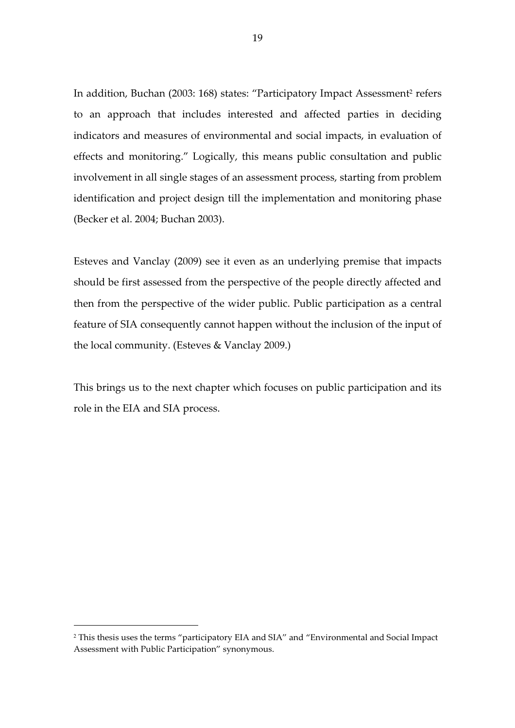In addition, Buchan (2003: 168) states: "Participatory Impact Assessment<sup>2</sup> refers to an approach that includes interested and affected parties in deciding indicators and measures of environmental and social impacts, in evaluation of effects and monitoring." Logically, this means public consultation and public involvement in all single stages of an assessment process, starting from problem identification and project design till the implementation and monitoring phase (Becker et al. 2004; Buchan 2003).

Esteves and Vanclay (2009) see it even as an underlying premise that impacts should be first assessed from the perspective of the people directly affected and then from the perspective of the wider public. Public participation as a central feature of SIA consequently cannot happen without the inclusion of the input of the local community. (Esteves & Vanclay 2009.)

This brings us to the next chapter which focuses on public participation and its role in the EIA and SIA process.

l

<sup>2</sup> This thesis uses the terms "participatory EIA and SIA" and "Environmental and Social Impact Assessment with Public Participation" synonymous.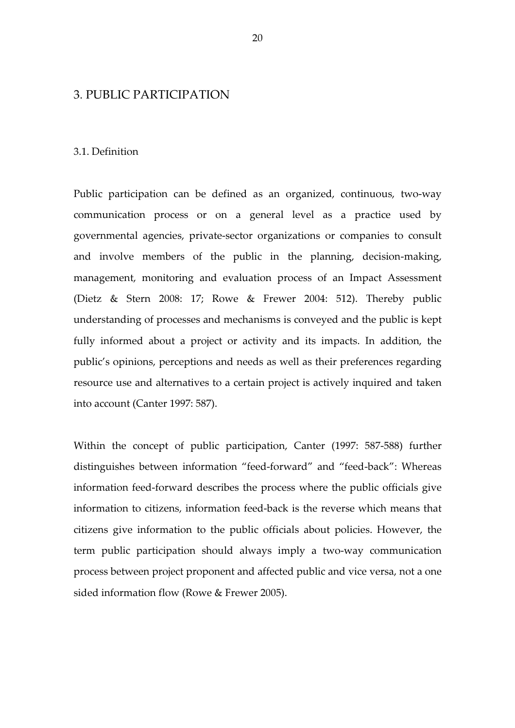### 3. PUBLIC PARTICIPATION

#### 3.1. Definition

Public participation can be defined as an organized, continuous, two-way communication process or on a general level as a practice used by governmental agencies, private-sector organizations or companies to consult and involve members of the public in the planning, decision-making, management, monitoring and evaluation process of an Impact Assessment (Dietz & Stern 2008: 17; Rowe & Frewer 2004: 512). Thereby public understanding of processes and mechanisms is conveyed and the public is kept fully informed about a project or activity and its impacts. In addition, the public's opinions, perceptions and needs as well as their preferences regarding resource use and alternatives to a certain project is actively inquired and taken into account (Canter 1997: 587).

Within the concept of public participation, Canter (1997: 587-588) further distinguishes between information "feed-forward" and "feed-back": Whereas information feed-forward describes the process where the public officials give information to citizens, information feed-back is the reverse which means that citizens give information to the public officials about policies. However, the term public participation should always imply a two-way communication process between project proponent and affected public and vice versa, not a one sided information flow (Rowe & Frewer 2005).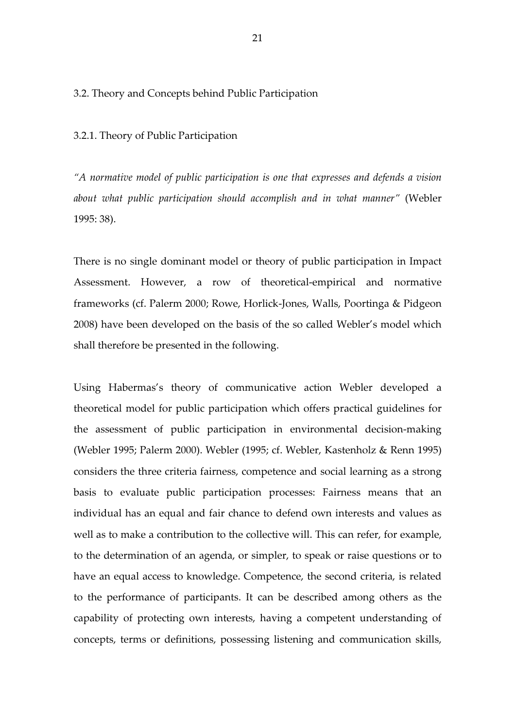#### 3.2. Theory and Concepts behind Public Participation

3.2.1. Theory of Public Participation

"A normative model of public participation is one that expresses and defends a vision about what public participation should accomplish and in what manner" (Webler 1995: 38).

There is no single dominant model or theory of public participation in Impact Assessment. However, a row of theoretical-empirical and normative frameworks (cf. Palerm 2000; Rowe, Horlick-Jones, Walls, Poortinga & Pidgeon 2008) have been developed on the basis of the so called Webler's model which shall therefore be presented in the following.

Using Habermas's theory of communicative action Webler developed a theoretical model for public participation which offers practical guidelines for the assessment of public participation in environmental decision-making (Webler 1995; Palerm 2000). Webler (1995; cf. Webler, Kastenholz & Renn 1995) considers the three criteria fairness, competence and social learning as a strong basis to evaluate public participation processes: Fairness means that an individual has an equal and fair chance to defend own interests and values as well as to make a contribution to the collective will. This can refer, for example, to the determination of an agenda, or simpler, to speak or raise questions or to have an equal access to knowledge. Competence, the second criteria, is related to the performance of participants. It can be described among others as the capability of protecting own interests, having a competent understanding of concepts, terms or definitions, possessing listening and communication skills,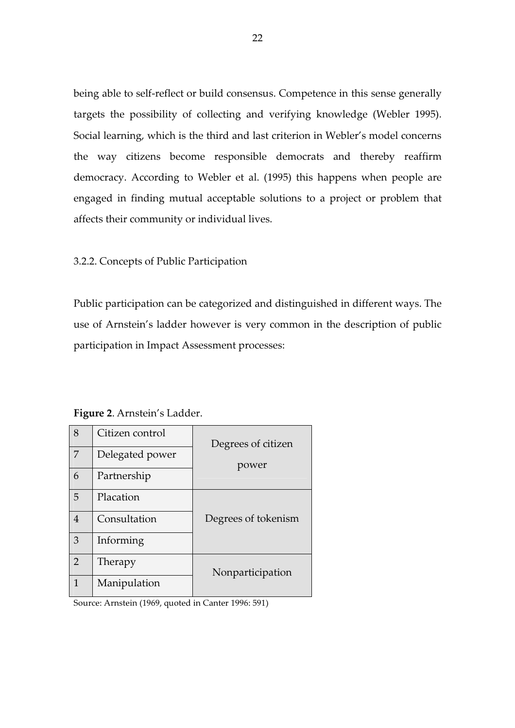being able to self-reflect or build consensus. Competence in this sense generally targets the possibility of collecting and verifying knowledge (Webler 1995). Social learning, which is the third and last criterion in Webler's model concerns the way citizens become responsible democrats and thereby reaffirm democracy. According to Webler et al. (1995) this happens when people are engaged in finding mutual acceptable solutions to a project or problem that affects their community or individual lives.

3.2.2. Concepts of Public Participation

Public participation can be categorized and distinguished in different ways. The use of Arnstein's ladder however is very common in the description of public participation in Impact Assessment processes:

| 8              | Citizen control | Degrees of citizen  |  |
|----------------|-----------------|---------------------|--|
| 7              | Delegated power | power               |  |
| 6              | Partnership     |                     |  |
| 5              | Placation       |                     |  |
| $\overline{4}$ | Consultation    | Degrees of tokenism |  |
| 3              | Informing       |                     |  |
| $\mathcal{P}$  | Therapy         | Nonparticipation    |  |
| $\mathbf{1}$   | Manipulation    |                     |  |

Figure 2. Arnstein's Ladder.

Source: Arnstein (1969, quoted in Canter 1996: 591)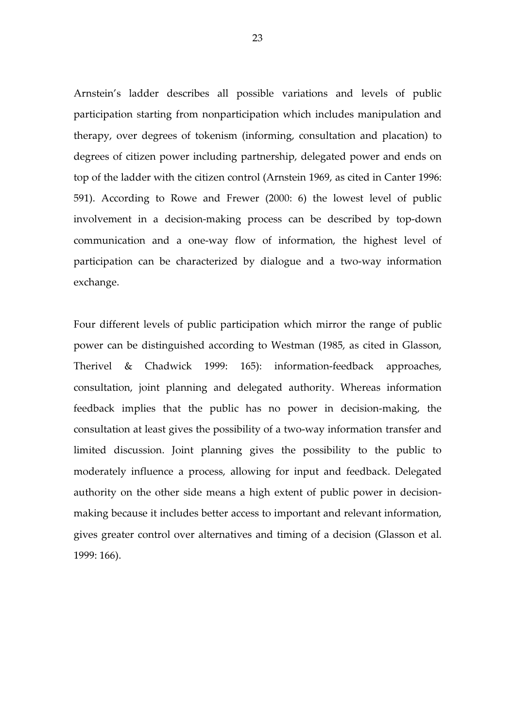Arnstein's ladder describes all possible variations and levels of public participation starting from nonparticipation which includes manipulation and therapy, over degrees of tokenism (informing, consultation and placation) to degrees of citizen power including partnership, delegated power and ends on top of the ladder with the citizen control (Arnstein 1969, as cited in Canter 1996: 591). According to Rowe and Frewer (2000: 6) the lowest level of public involvement in a decision-making process can be described by top-down communication and a one-way flow of information, the highest level of participation can be characterized by dialogue and a two-way information exchange.

Four different levels of public participation which mirror the range of public power can be distinguished according to Westman (1985, as cited in Glasson, Therivel & Chadwick 1999: 165): information-feedback approaches, consultation, joint planning and delegated authority. Whereas information feedback implies that the public has no power in decision-making, the consultation at least gives the possibility of a two-way information transfer and limited discussion. Joint planning gives the possibility to the public to moderately influence a process, allowing for input and feedback. Delegated authority on the other side means a high extent of public power in decisionmaking because it includes better access to important and relevant information, gives greater control over alternatives and timing of a decision (Glasson et al. 1999: 166).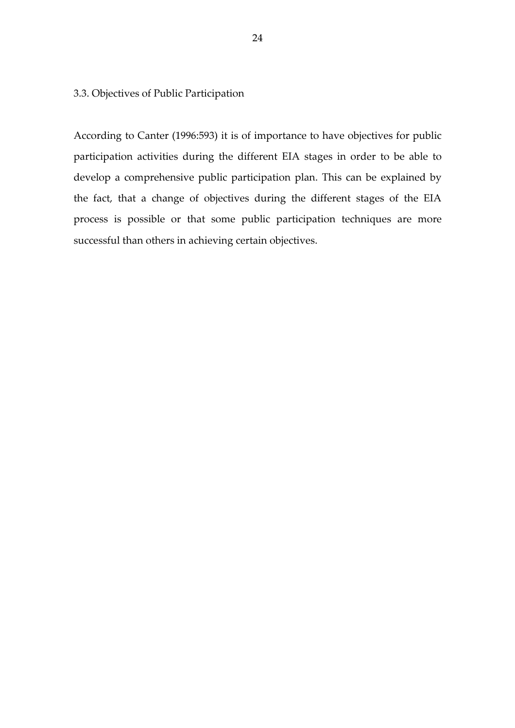3.3. Objectives of Public Participation

According to Canter (1996:593) it is of importance to have objectives for public participation activities during the different EIA stages in order to be able to develop a comprehensive public participation plan. This can be explained by the fact, that a change of objectives during the different stages of the EIA process is possible or that some public participation techniques are more successful than others in achieving certain objectives.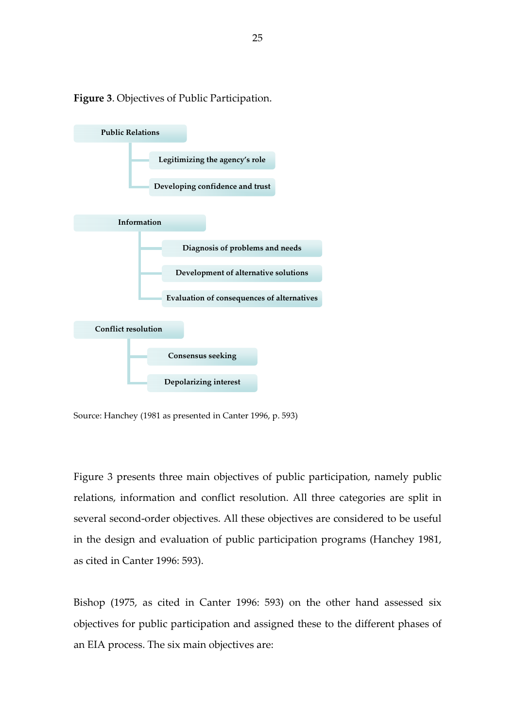

Figure 3. Objectives of Public Participation.

Source: Hanchey (1981 as presented in Canter 1996, p. 593)

Figure 3 presents three main objectives of public participation, namely public relations, information and conflict resolution. All three categories are split in several second-order objectives. All these objectives are considered to be useful in the design and evaluation of public participation programs (Hanchey 1981, as cited in Canter 1996: 593).

Bishop (1975, as cited in Canter 1996: 593) on the other hand assessed six objectives for public participation and assigned these to the different phases of an EIA process. The six main objectives are: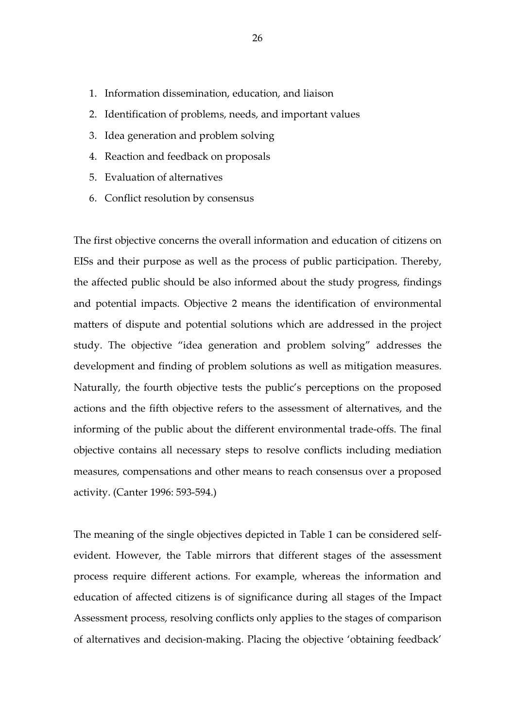- 1. Information dissemination, education, and liaison
- 2. Identification of problems, needs, and important values
- 3. Idea generation and problem solving
- 4. Reaction and feedback on proposals
- 5. Evaluation of alternatives
- 6. Conflict resolution by consensus

The first objective concerns the overall information and education of citizens on EISs and their purpose as well as the process of public participation. Thereby, the affected public should be also informed about the study progress, findings and potential impacts. Objective 2 means the identification of environmental matters of dispute and potential solutions which are addressed in the project study. The objective "idea generation and problem solving" addresses the development and finding of problem solutions as well as mitigation measures. Naturally, the fourth objective tests the public's perceptions on the proposed actions and the fifth objective refers to the assessment of alternatives, and the informing of the public about the different environmental trade-offs. The final objective contains all necessary steps to resolve conflicts including mediation measures, compensations and other means to reach consensus over a proposed activity. (Canter 1996: 593-594.)

The meaning of the single objectives depicted in Table 1 can be considered selfevident. However, the Table mirrors that different stages of the assessment process require different actions. For example, whereas the information and education of affected citizens is of significance during all stages of the Impact Assessment process, resolving conflicts only applies to the stages of comparison of alternatives and decision-making. Placing the objective 'obtaining feedback'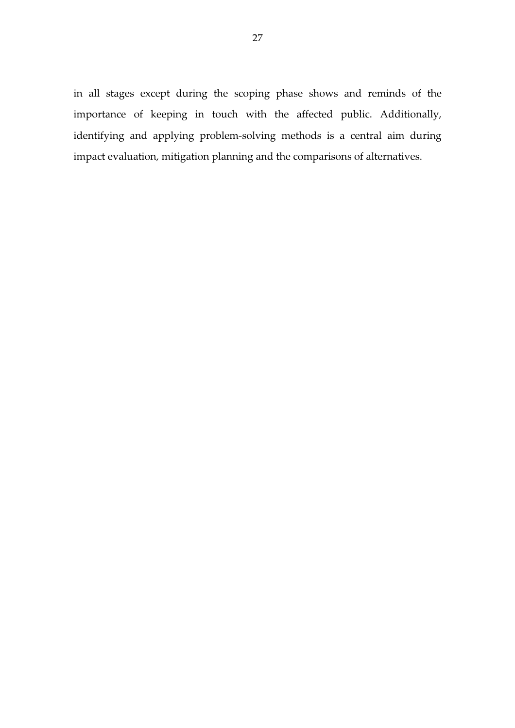in all stages except during the scoping phase shows and reminds of the importance of keeping in touch with the affected public. Additionally, identifying and applying problem-solving methods is a central aim during impact evaluation, mitigation planning and the comparisons of alternatives.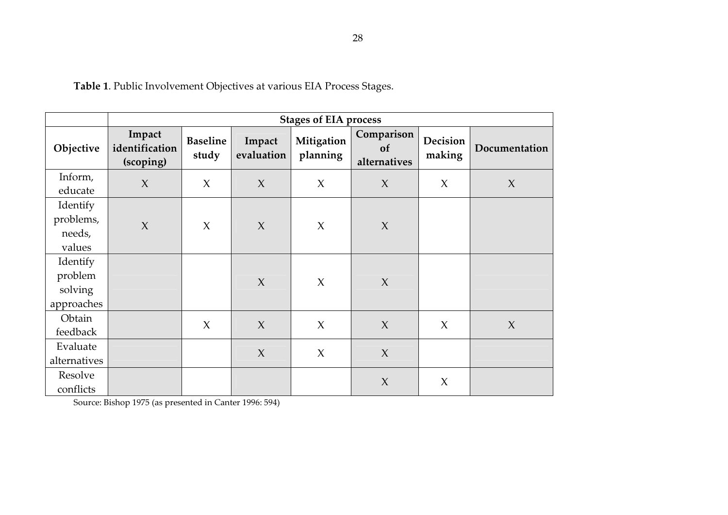Table 1. Public Involvement Objectives at various EIA Process Stages.

|                                              | <b>Stages of EIA process</b>          |                          |                      |                        |                                  |                    |               |
|----------------------------------------------|---------------------------------------|--------------------------|----------------------|------------------------|----------------------------------|--------------------|---------------|
| Objective                                    | Impact<br>identification<br>(scoping) | <b>Baseline</b><br>study | Impact<br>evaluation | Mitigation<br>planning | Comparison<br>of<br>alternatives | Decision<br>making | Documentation |
| Inform,<br>educate                           | $\chi$                                | $\chi$                   | $\chi$               | $\chi$                 | $\chi$                           | $\chi$             | $\chi$        |
| Identify<br>problems,<br>needs,<br>values    | $\chi$                                | $\chi$                   | $\chi$               | $\chi$                 | $\chi$                           |                    |               |
| Identify<br>problem<br>solving<br>approaches |                                       |                          | $\chi$               | $\chi$                 | $\chi$                           |                    |               |
| Obtain<br>feedback                           |                                       | $\chi$                   | $\chi$               | $\chi$                 | $\chi$                           | $\chi$             | $\chi$        |
| Evaluate<br>alternatives                     |                                       |                          | X                    | $\chi$                 | $\chi$                           |                    |               |
| Resolve<br>conflicts                         |                                       |                          |                      |                        | $\chi$                           | $\chi$             |               |

Source: Bishop 1975 (as presented in Canter 1996: 594)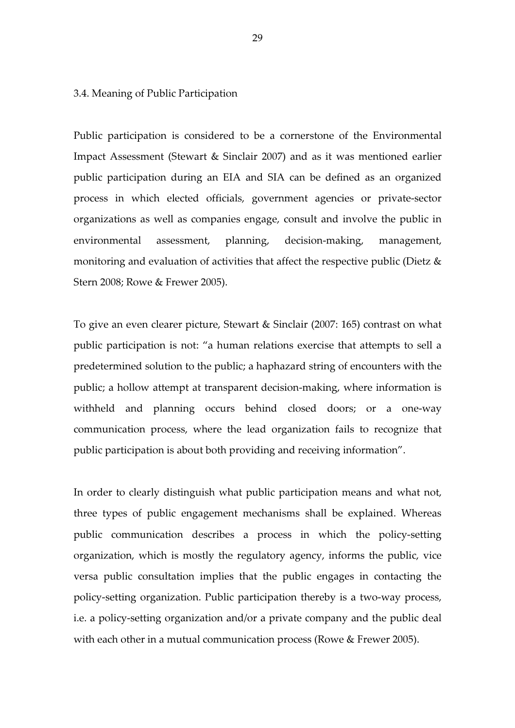#### 3.4. Meaning of Public Participation

Public participation is considered to be a cornerstone of the Environmental Impact Assessment (Stewart & Sinclair 2007) and as it was mentioned earlier public participation during an EIA and SIA can be defined as an organized process in which elected officials, government agencies or private-sector organizations as well as companies engage, consult and involve the public in environmental assessment, planning, decision-making, management, monitoring and evaluation of activities that affect the respective public (Dietz & Stern 2008; Rowe & Frewer 2005).

To give an even clearer picture, Stewart & Sinclair (2007: 165) contrast on what public participation is not: "a human relations exercise that attempts to sell a predetermined solution to the public; a haphazard string of encounters with the public; a hollow attempt at transparent decision-making, where information is withheld and planning occurs behind closed doors; or a one-way communication process, where the lead organization fails to recognize that public participation is about both providing and receiving information".

In order to clearly distinguish what public participation means and what not, three types of public engagement mechanisms shall be explained. Whereas public communication describes a process in which the policy-setting organization, which is mostly the regulatory agency, informs the public, vice versa public consultation implies that the public engages in contacting the policy-setting organization. Public participation thereby is a two-way process, i.e. a policy-setting organization and/or a private company and the public deal with each other in a mutual communication process (Rowe & Frewer 2005).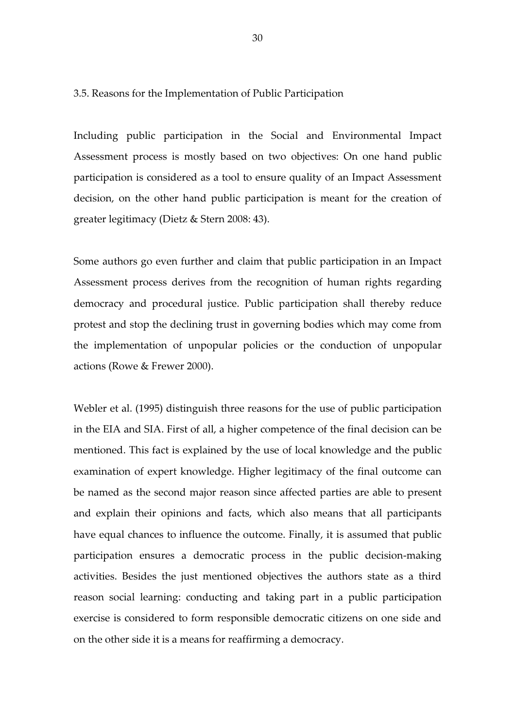3.5. Reasons for the Implementation of Public Participation

Including public participation in the Social and Environmental Impact Assessment process is mostly based on two objectives: On one hand public participation is considered as a tool to ensure quality of an Impact Assessment decision, on the other hand public participation is meant for the creation of greater legitimacy (Dietz & Stern 2008: 43).

Some authors go even further and claim that public participation in an Impact Assessment process derives from the recognition of human rights regarding democracy and procedural justice. Public participation shall thereby reduce protest and stop the declining trust in governing bodies which may come from the implementation of unpopular policies or the conduction of unpopular actions (Rowe & Frewer 2000).

Webler et al. (1995) distinguish three reasons for the use of public participation in the EIA and SIA. First of all, a higher competence of the final decision can be mentioned. This fact is explained by the use of local knowledge and the public examination of expert knowledge. Higher legitimacy of the final outcome can be named as the second major reason since affected parties are able to present and explain their opinions and facts, which also means that all participants have equal chances to influence the outcome. Finally, it is assumed that public participation ensures a democratic process in the public decision-making activities. Besides the just mentioned objectives the authors state as a third reason social learning: conducting and taking part in a public participation exercise is considered to form responsible democratic citizens on one side and on the other side it is a means for reaffirming a democracy.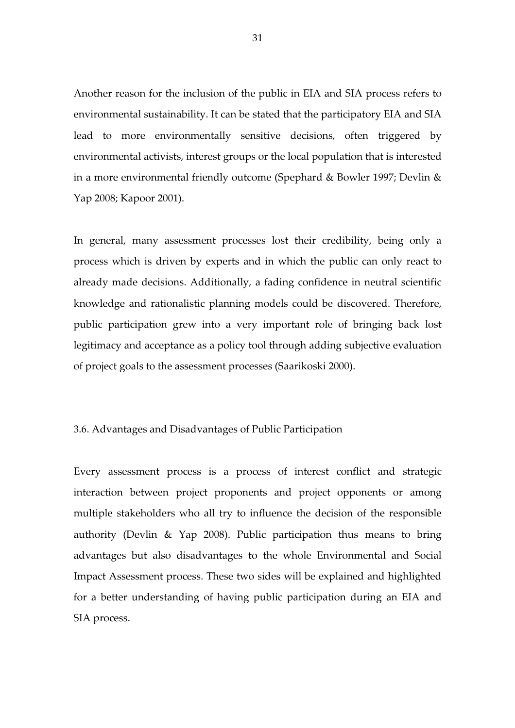Another reason for the inclusion of the public in EIA and SIA process refers to environmental sustainability. It can be stated that the participatory EIA and SIA lead to more environmentally sensitive decisions, often triggered by environmental activists, interest groups or the local population that is interested in a more environmental friendly outcome (Spephard & Bowler 1997; Devlin & Yap 2008; Kapoor 2001).

In general, many assessment processes lost their credibility, being only a process which is driven by experts and in which the public can only react to already made decisions. Additionally, a fading confidence in neutral scientific knowledge and rationalistic planning models could be discovered. Therefore, public participation grew into a very important role of bringing back lost legitimacy and acceptance as a policy tool through adding subjective evaluation of project goals to the assessment processes (Saarikoski 2000).

#### 3.6. Advantages and Disadvantages of Public Participation

Every assessment process is a process of interest conflict and strategic interaction between project proponents and project opponents or among multiple stakeholders who all try to influence the decision of the responsible authority (Devlin & Yap 2008). Public participation thus means to bring advantages but also disadvantages to the whole Environmental and Social Impact Assessment process. These two sides will be explained and highlighted for a better understanding of having public participation during an EIA and SIA process.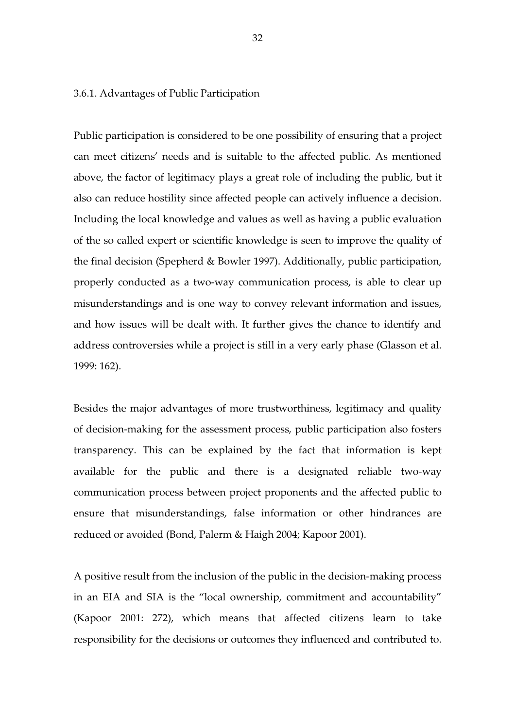3.6.1. Advantages of Public Participation

Public participation is considered to be one possibility of ensuring that a project can meet citizens' needs and is suitable to the affected public. As mentioned above, the factor of legitimacy plays a great role of including the public, but it also can reduce hostility since affected people can actively influence a decision. Including the local knowledge and values as well as having a public evaluation of the so called expert or scientific knowledge is seen to improve the quality of the final decision (Spepherd & Bowler 1997). Additionally, public participation, properly conducted as a two-way communication process, is able to clear up misunderstandings and is one way to convey relevant information and issues, and how issues will be dealt with. It further gives the chance to identify and address controversies while a project is still in a very early phase (Glasson et al. 1999: 162).

Besides the major advantages of more trustworthiness, legitimacy and quality of decision-making for the assessment process, public participation also fosters transparency. This can be explained by the fact that information is kept available for the public and there is a designated reliable two-way communication process between project proponents and the affected public to ensure that misunderstandings, false information or other hindrances are reduced or avoided (Bond, Palerm & Haigh 2004; Kapoor 2001).

A positive result from the inclusion of the public in the decision-making process in an EIA and SIA is the "local ownership, commitment and accountability" (Kapoor 2001: 272), which means that affected citizens learn to take responsibility for the decisions or outcomes they influenced and contributed to.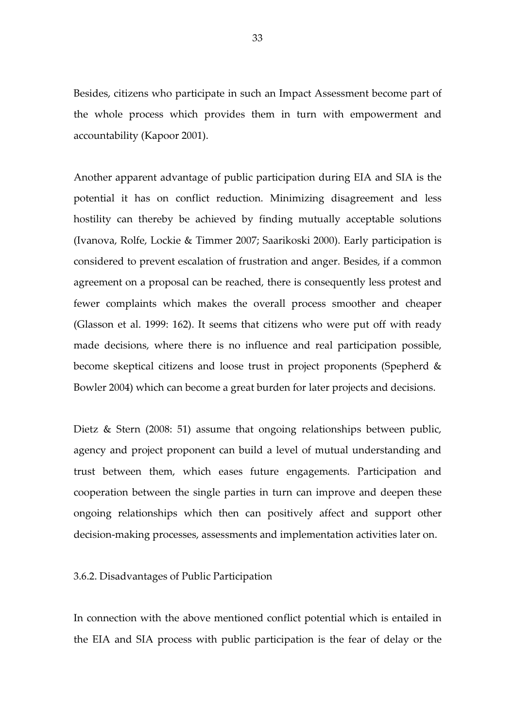Besides, citizens who participate in such an Impact Assessment become part of the whole process which provides them in turn with empowerment and accountability (Kapoor 2001).

Another apparent advantage of public participation during EIA and SIA is the potential it has on conflict reduction. Minimizing disagreement and less hostility can thereby be achieved by finding mutually acceptable solutions (Ivanova, Rolfe, Lockie & Timmer 2007; Saarikoski 2000). Early participation is considered to prevent escalation of frustration and anger. Besides, if a common agreement on a proposal can be reached, there is consequently less protest and fewer complaints which makes the overall process smoother and cheaper (Glasson et al. 1999: 162). It seems that citizens who were put off with ready made decisions, where there is no influence and real participation possible, become skeptical citizens and loose trust in project proponents (Spepherd & Bowler 2004) which can become a great burden for later projects and decisions.

Dietz & Stern (2008: 51) assume that ongoing relationships between public, agency and project proponent can build a level of mutual understanding and trust between them, which eases future engagements. Participation and cooperation between the single parties in turn can improve and deepen these ongoing relationships which then can positively affect and support other decision-making processes, assessments and implementation activities later on.

3.6.2. Disadvantages of Public Participation

In connection with the above mentioned conflict potential which is entailed in the EIA and SIA process with public participation is the fear of delay or the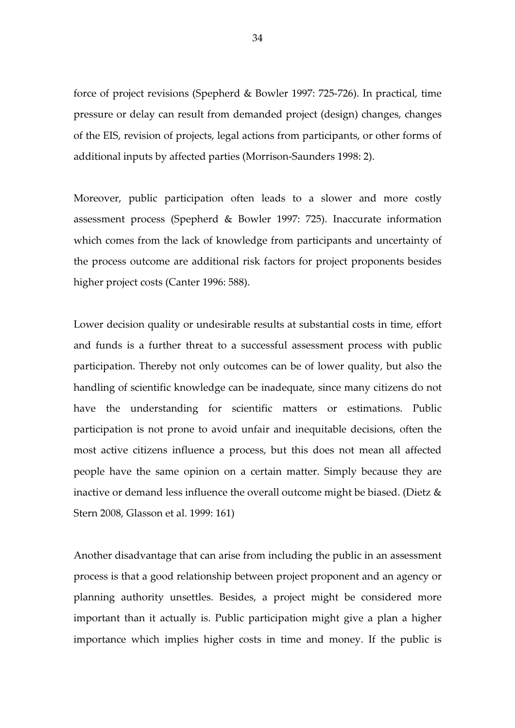force of project revisions (Spepherd & Bowler 1997: 725-726). In practical, time pressure or delay can result from demanded project (design) changes, changes of the EIS, revision of projects, legal actions from participants, or other forms of additional inputs by affected parties (Morrison-Saunders 1998: 2).

Moreover, public participation often leads to a slower and more costly assessment process (Spepherd & Bowler 1997: 725). Inaccurate information which comes from the lack of knowledge from participants and uncertainty of the process outcome are additional risk factors for project proponents besides higher project costs (Canter 1996: 588).

Lower decision quality or undesirable results at substantial costs in time, effort and funds is a further threat to a successful assessment process with public participation. Thereby not only outcomes can be of lower quality, but also the handling of scientific knowledge can be inadequate, since many citizens do not have the understanding for scientific matters or estimations. Public participation is not prone to avoid unfair and inequitable decisions, often the most active citizens influence a process, but this does not mean all affected people have the same opinion on a certain matter. Simply because they are inactive or demand less influence the overall outcome might be biased. (Dietz & Stern 2008, Glasson et al. 1999: 161)

Another disadvantage that can arise from including the public in an assessment process is that a good relationship between project proponent and an agency or planning authority unsettles. Besides, a project might be considered more important than it actually is. Public participation might give a plan a higher importance which implies higher costs in time and money. If the public is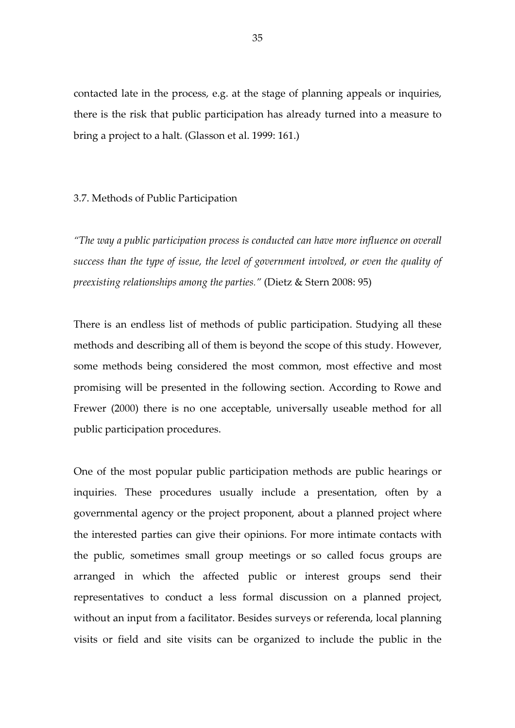contacted late in the process, e.g. at the stage of planning appeals or inquiries, there is the risk that public participation has already turned into a measure to bring a project to a halt. (Glasson et al. 1999: 161.)

#### 3.7. Methods of Public Participation

"The way a public participation process is conducted can have more influence on overall success than the type of issue, the level of government involved, or even the quality of preexisting relationships among the parties." (Dietz & Stern 2008: 95)

There is an endless list of methods of public participation. Studying all these methods and describing all of them is beyond the scope of this study. However, some methods being considered the most common, most effective and most promising will be presented in the following section. According to Rowe and Frewer (2000) there is no one acceptable, universally useable method for all public participation procedures.

One of the most popular public participation methods are public hearings or inquiries. These procedures usually include a presentation, often by a governmental agency or the project proponent, about a planned project where the interested parties can give their opinions. For more intimate contacts with the public, sometimes small group meetings or so called focus groups are arranged in which the affected public or interest groups send their representatives to conduct a less formal discussion on a planned project, without an input from a facilitator. Besides surveys or referenda, local planning visits or field and site visits can be organized to include the public in the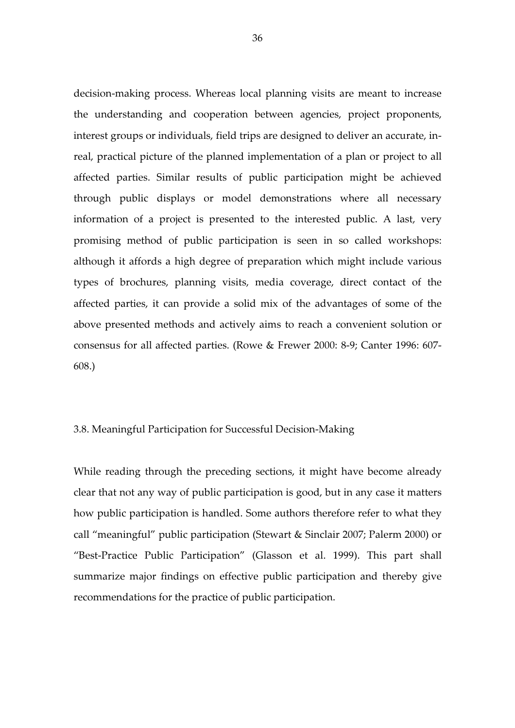decision-making process. Whereas local planning visits are meant to increase the understanding and cooperation between agencies, project proponents, interest groups or individuals, field trips are designed to deliver an accurate, inreal, practical picture of the planned implementation of a plan or project to all affected parties. Similar results of public participation might be achieved through public displays or model demonstrations where all necessary information of a project is presented to the interested public. A last, very promising method of public participation is seen in so called workshops: although it affords a high degree of preparation which might include various types of brochures, planning visits, media coverage, direct contact of the affected parties, it can provide a solid mix of the advantages of some of the above presented methods and actively aims to reach a convenient solution or consensus for all affected parties. (Rowe & Frewer 2000: 8-9; Canter 1996: 607- 608.)

## 3.8. Meaningful Participation for Successful Decision-Making

While reading through the preceding sections, it might have become already clear that not any way of public participation is good, but in any case it matters how public participation is handled. Some authors therefore refer to what they call "meaningful" public participation (Stewart & Sinclair 2007; Palerm 2000) or "Best-Practice Public Participation" (Glasson et al. 1999). This part shall summarize major findings on effective public participation and thereby give recommendations for the practice of public participation.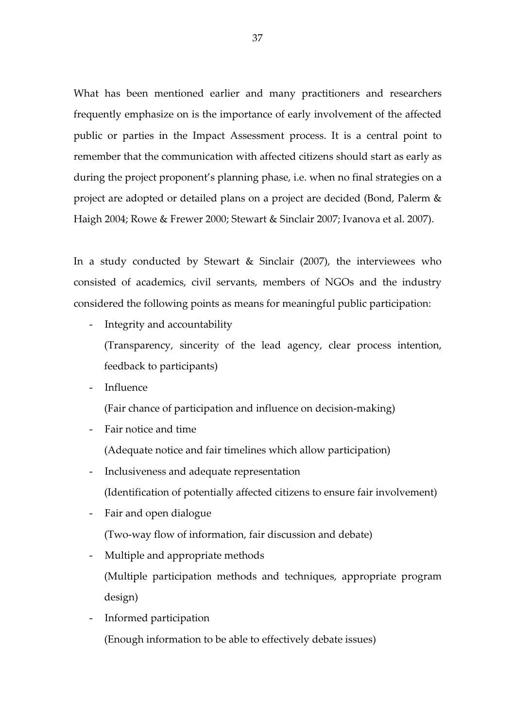What has been mentioned earlier and many practitioners and researchers frequently emphasize on is the importance of early involvement of the affected public or parties in the Impact Assessment process. It is a central point to remember that the communication with affected citizens should start as early as during the project proponent's planning phase, i.e. when no final strategies on a project are adopted or detailed plans on a project are decided (Bond, Palerm & Haigh 2004; Rowe & Frewer 2000; Stewart & Sinclair 2007; Ivanova et al. 2007).

In a study conducted by Stewart & Sinclair (2007), the interviewees who consisted of academics, civil servants, members of NGOs and the industry considered the following points as means for meaningful public participation:

- Integrity and accountability

(Transparency, sincerity of the lead agency, clear process intention, feedback to participants)

- Influence

(Fair chance of participation and influence on decision-making)

- Fair notice and time

(Adequate notice and fair timelines which allow participation)

- Inclusiveness and adequate representation (Identification of potentially affected citizens to ensure fair involvement)
- Fair and open dialogue

(Two-way flow of information, fair discussion and debate)

Multiple and appropriate methods

(Multiple participation methods and techniques, appropriate program design)

- Informed participation (Enough information to be able to effectively debate issues)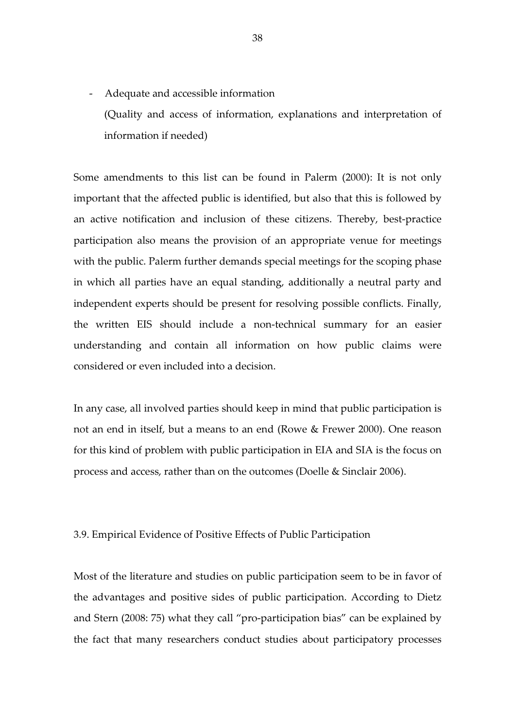- Adequate and accessible information (Quality and access of information, explanations and interpretation of information if needed)

Some amendments to this list can be found in Palerm (2000): It is not only important that the affected public is identified, but also that this is followed by an active notification and inclusion of these citizens. Thereby, best-practice participation also means the provision of an appropriate venue for meetings with the public. Palerm further demands special meetings for the scoping phase in which all parties have an equal standing, additionally a neutral party and independent experts should be present for resolving possible conflicts. Finally, the written EIS should include a non-technical summary for an easier understanding and contain all information on how public claims were considered or even included into a decision.

In any case, all involved parties should keep in mind that public participation is not an end in itself, but a means to an end (Rowe & Frewer 2000). One reason for this kind of problem with public participation in EIA and SIA is the focus on process and access, rather than on the outcomes (Doelle & Sinclair 2006).

## 3.9. Empirical Evidence of Positive Effects of Public Participation

Most of the literature and studies on public participation seem to be in favor of the advantages and positive sides of public participation. According to Dietz and Stern (2008: 75) what they call "pro-participation bias" can be explained by the fact that many researchers conduct studies about participatory processes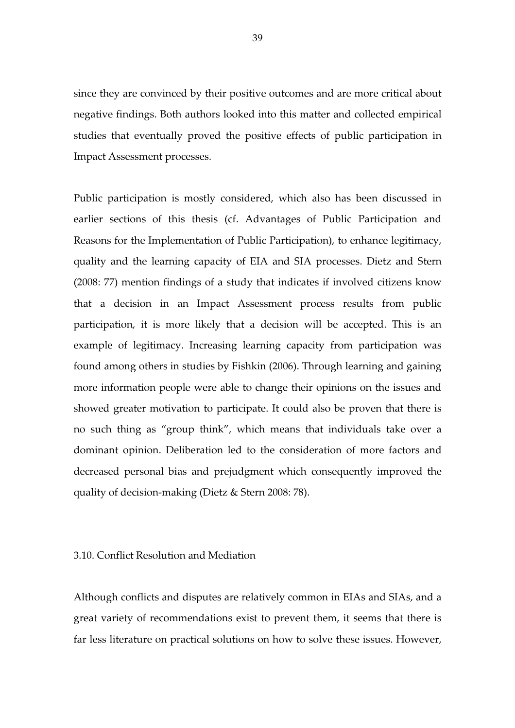since they are convinced by their positive outcomes and are more critical about negative findings. Both authors looked into this matter and collected empirical studies that eventually proved the positive effects of public participation in Impact Assessment processes.

Public participation is mostly considered, which also has been discussed in earlier sections of this thesis (cf. Advantages of Public Participation and Reasons for the Implementation of Public Participation), to enhance legitimacy, quality and the learning capacity of EIA and SIA processes. Dietz and Stern (2008: 77) mention findings of a study that indicates if involved citizens know that a decision in an Impact Assessment process results from public participation, it is more likely that a decision will be accepted. This is an example of legitimacy. Increasing learning capacity from participation was found among others in studies by Fishkin (2006). Through learning and gaining more information people were able to change their opinions on the issues and showed greater motivation to participate. It could also be proven that there is no such thing as "group think", which means that individuals take over a dominant opinion. Deliberation led to the consideration of more factors and decreased personal bias and prejudgment which consequently improved the quality of decision-making (Dietz & Stern 2008: 78).

### 3.10. Conflict Resolution and Mediation

Although conflicts and disputes are relatively common in EIAs and SIAs, and a great variety of recommendations exist to prevent them, it seems that there is far less literature on practical solutions on how to solve these issues. However,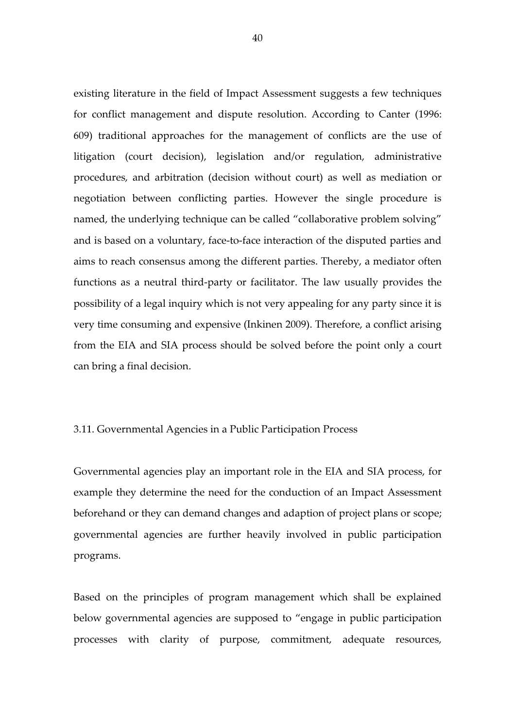existing literature in the field of Impact Assessment suggests a few techniques for conflict management and dispute resolution. According to Canter (1996: 609) traditional approaches for the management of conflicts are the use of litigation (court decision), legislation and/or regulation, administrative procedures, and arbitration (decision without court) as well as mediation or negotiation between conflicting parties. However the single procedure is named, the underlying technique can be called "collaborative problem solving" and is based on a voluntary, face-to-face interaction of the disputed parties and aims to reach consensus among the different parties. Thereby, a mediator often functions as a neutral third-party or facilitator. The law usually provides the possibility of a legal inquiry which is not very appealing for any party since it is very time consuming and expensive (Inkinen 2009). Therefore, a conflict arising from the EIA and SIA process should be solved before the point only a court can bring a final decision.

## 3.11. Governmental Agencies in a Public Participation Process

Governmental agencies play an important role in the EIA and SIA process, for example they determine the need for the conduction of an Impact Assessment beforehand or they can demand changes and adaption of project plans or scope; governmental agencies are further heavily involved in public participation programs.

Based on the principles of program management which shall be explained below governmental agencies are supposed to "engage in public participation processes with clarity of purpose, commitment, adequate resources,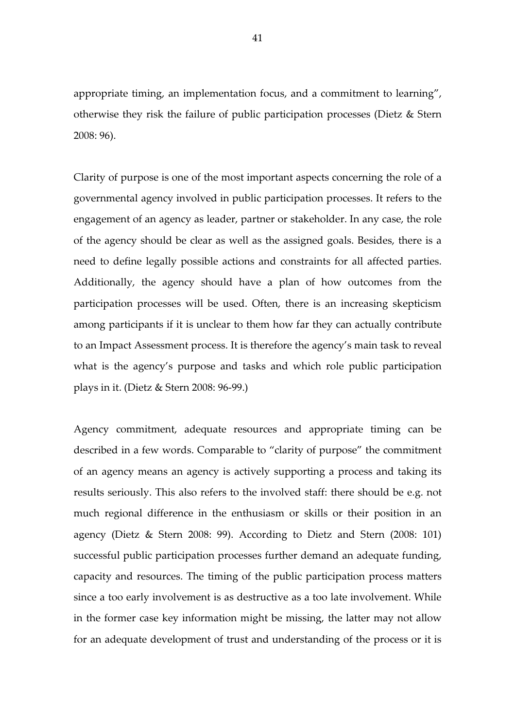appropriate timing, an implementation focus, and a commitment to learning", otherwise they risk the failure of public participation processes (Dietz & Stern 2008: 96).

Clarity of purpose is one of the most important aspects concerning the role of a governmental agency involved in public participation processes. It refers to the engagement of an agency as leader, partner or stakeholder. In any case, the role of the agency should be clear as well as the assigned goals. Besides, there is a need to define legally possible actions and constraints for all affected parties. Additionally, the agency should have a plan of how outcomes from the participation processes will be used. Often, there is an increasing skepticism among participants if it is unclear to them how far they can actually contribute to an Impact Assessment process. It is therefore the agency's main task to reveal what is the agency's purpose and tasks and which role public participation plays in it. (Dietz & Stern 2008: 96-99.)

Agency commitment, adequate resources and appropriate timing can be described in a few words. Comparable to "clarity of purpose" the commitment of an agency means an agency is actively supporting a process and taking its results seriously. This also refers to the involved staff: there should be e.g. not much regional difference in the enthusiasm or skills or their position in an agency (Dietz & Stern 2008: 99). According to Dietz and Stern (2008: 101) successful public participation processes further demand an adequate funding, capacity and resources. The timing of the public participation process matters since a too early involvement is as destructive as a too late involvement. While in the former case key information might be missing, the latter may not allow for an adequate development of trust and understanding of the process or it is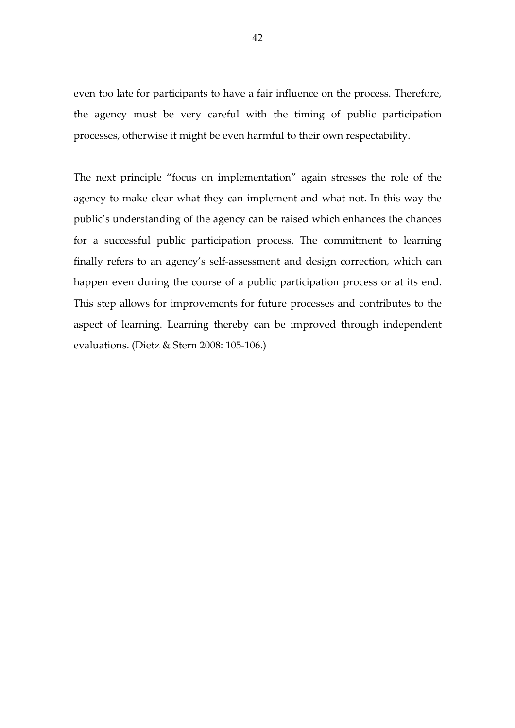even too late for participants to have a fair influence on the process. Therefore, the agency must be very careful with the timing of public participation processes, otherwise it might be even harmful to their own respectability.

The next principle "focus on implementation" again stresses the role of the agency to make clear what they can implement and what not. In this way the public's understanding of the agency can be raised which enhances the chances for a successful public participation process. The commitment to learning finally refers to an agency's self-assessment and design correction, which can happen even during the course of a public participation process or at its end. This step allows for improvements for future processes and contributes to the aspect of learning. Learning thereby can be improved through independent evaluations. (Dietz & Stern 2008: 105-106.)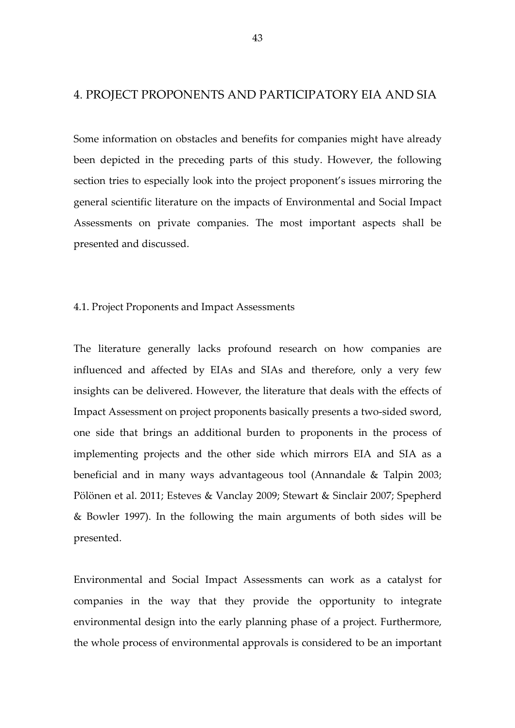## 4. PROJECT PROPONENTS AND PARTICIPATORY EIA AND SIA

Some information on obstacles and benefits for companies might have already been depicted in the preceding parts of this study. However, the following section tries to especially look into the project proponent's issues mirroring the general scientific literature on the impacts of Environmental and Social Impact Assessments on private companies. The most important aspects shall be presented and discussed.

#### 4.1. Project Proponents and Impact Assessments

The literature generally lacks profound research on how companies are influenced and affected by EIAs and SIAs and therefore, only a very few insights can be delivered. However, the literature that deals with the effects of Impact Assessment on project proponents basically presents a two-sided sword, one side that brings an additional burden to proponents in the process of implementing projects and the other side which mirrors EIA and SIA as a beneficial and in many ways advantageous tool (Annandale & Talpin 2003; Pölönen et al. 2011; Esteves & Vanclay 2009; Stewart & Sinclair 2007; Spepherd & Bowler 1997). In the following the main arguments of both sides will be presented.

Environmental and Social Impact Assessments can work as a catalyst for companies in the way that they provide the opportunity to integrate environmental design into the early planning phase of a project. Furthermore, the whole process of environmental approvals is considered to be an important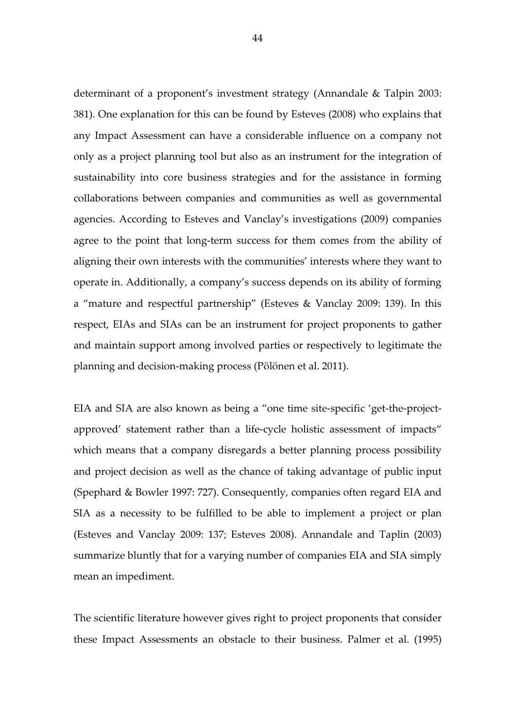determinant of a proponent's investment strategy (Annandale & Talpin 2003: 381). One explanation for this can be found by Esteves (2008) who explains that any Impact Assessment can have a considerable influence on a company not only as a project planning tool but also as an instrument for the integration of sustainability into core business strategies and for the assistance in forming collaborations between companies and communities as well as governmental agencies. According to Esteves and Vanclay's investigations (2009) companies agree to the point that long-term success for them comes from the ability of aligning their own interests with the communities' interests where they want to operate in. Additionally, a company's success depends on its ability of forming a "mature and respectful partnership" (Esteves & Vanclay 2009: 139). In this respect, EIAs and SIAs can be an instrument for project proponents to gather and maintain support among involved parties or respectively to legitimate the planning and decision-making process (Pölönen et al. 2011).

EIA and SIA are also known as being a "one time site-specific 'get-the-projectapproved' statement rather than a life-cycle holistic assessment of impacts" which means that a company disregards a better planning process possibility and project decision as well as the chance of taking advantage of public input (Spephard & Bowler 1997: 727). Consequently, companies often regard EIA and SIA as a necessity to be fulfilled to be able to implement a project or plan (Esteves and Vanclay 2009: 137; Esteves 2008). Annandale and Taplin (2003) summarize bluntly that for a varying number of companies EIA and SIA simply mean an impediment.

The scientific literature however gives right to project proponents that consider these Impact Assessments an obstacle to their business. Palmer et al. (1995)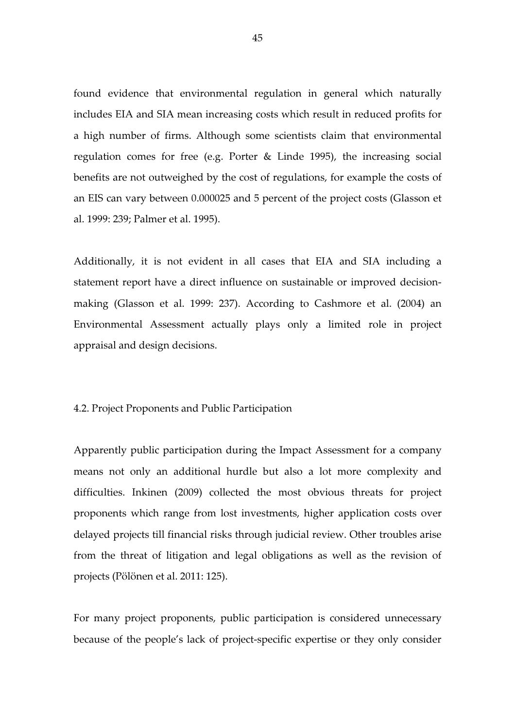found evidence that environmental regulation in general which naturally includes EIA and SIA mean increasing costs which result in reduced profits for a high number of firms. Although some scientists claim that environmental regulation comes for free (e.g. Porter & Linde 1995), the increasing social benefits are not outweighed by the cost of regulations, for example the costs of an EIS can vary between 0.000025 and 5 percent of the project costs (Glasson et al. 1999: 239; Palmer et al. 1995).

Additionally, it is not evident in all cases that EIA and SIA including a statement report have a direct influence on sustainable or improved decisionmaking (Glasson et al. 1999: 237). According to Cashmore et al. (2004) an Environmental Assessment actually plays only a limited role in project appraisal and design decisions.

### 4.2. Project Proponents and Public Participation

Apparently public participation during the Impact Assessment for a company means not only an additional hurdle but also a lot more complexity and difficulties. Inkinen (2009) collected the most obvious threats for project proponents which range from lost investments, higher application costs over delayed projects till financial risks through judicial review. Other troubles arise from the threat of litigation and legal obligations as well as the revision of projects (Pölönen et al. 2011: 125).

For many project proponents, public participation is considered unnecessary because of the people's lack of project-specific expertise or they only consider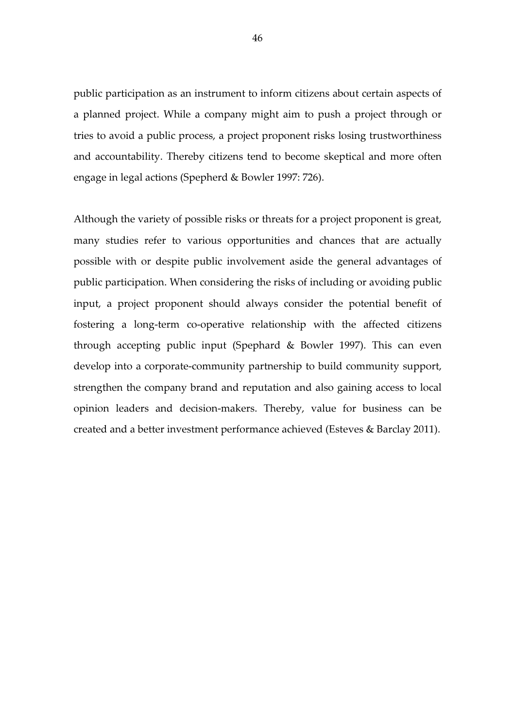public participation as an instrument to inform citizens about certain aspects of a planned project. While a company might aim to push a project through or tries to avoid a public process, a project proponent risks losing trustworthiness and accountability. Thereby citizens tend to become skeptical and more often engage in legal actions (Spepherd & Bowler 1997: 726).

Although the variety of possible risks or threats for a project proponent is great, many studies refer to various opportunities and chances that are actually possible with or despite public involvement aside the general advantages of public participation. When considering the risks of including or avoiding public input, a project proponent should always consider the potential benefit of fostering a long-term co-operative relationship with the affected citizens through accepting public input (Spephard & Bowler 1997). This can even develop into a corporate-community partnership to build community support, strengthen the company brand and reputation and also gaining access to local opinion leaders and decision-makers. Thereby, value for business can be created and a better investment performance achieved (Esteves & Barclay 2011).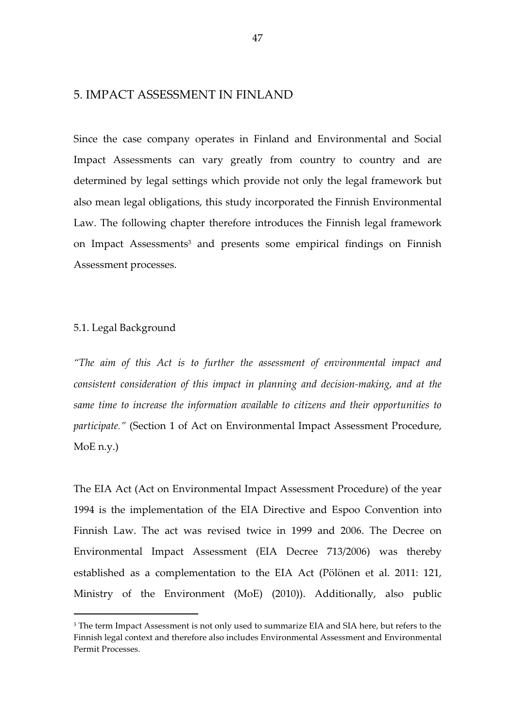## 5. IMPACT ASSESSMENT IN FINLAND

Since the case company operates in Finland and Environmental and Social Impact Assessments can vary greatly from country to country and are determined by legal settings which provide not only the legal framework but also mean legal obligations, this study incorporated the Finnish Environmental Law. The following chapter therefore introduces the Finnish legal framework on Impact Assessments<sup>3</sup> and presents some empirical findings on Finnish Assessment processes.

## 5.1. Legal Background

 $\overline{a}$ 

"The aim of this Act is to further the assessment of environmental impact and consistent consideration of this impact in planning and decision-making, and at the same time to increase the information available to citizens and their opportunities to participate." (Section 1 of Act on Environmental Impact Assessment Procedure, MoE n.y.)

The EIA Act (Act on Environmental Impact Assessment Procedure) of the year 1994 is the implementation of the EIA Directive and Espoo Convention into Finnish Law. The act was revised twice in 1999 and 2006. The Decree on Environmental Impact Assessment (EIA Decree 713/2006) was thereby established as a complementation to the EIA Act (Pölönen et al. 2011: 121, Ministry of the Environment (MoE) (2010)). Additionally, also public

<sup>&</sup>lt;sup>3</sup> The term Impact Assessment is not only used to summarize EIA and SIA here, but refers to the Finnish legal context and therefore also includes Environmental Assessment and Environmental Permit Processes.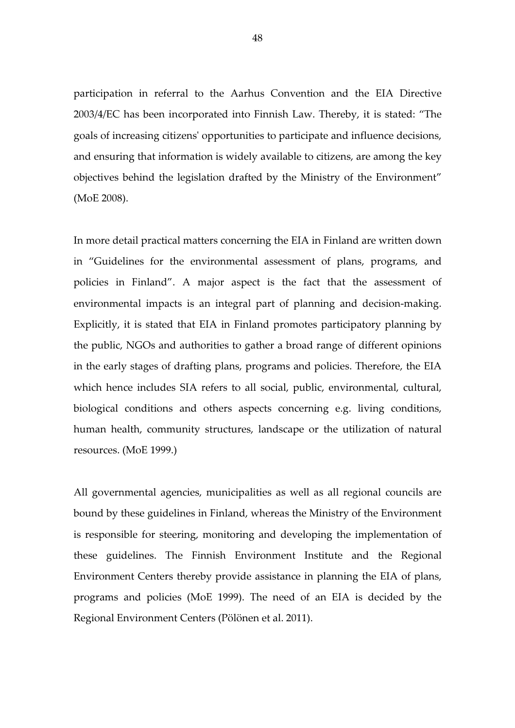participation in referral to the Aarhus Convention and the EIA Directive 2003/4/EC has been incorporated into Finnish Law. Thereby, it is stated: "The goals of increasing citizens' opportunities to participate and influence decisions, and ensuring that information is widely available to citizens, are among the key objectives behind the legislation drafted by the Ministry of the Environment" (MoE 2008).

In more detail practical matters concerning the EIA in Finland are written down in "Guidelines for the environmental assessment of plans, programs, and policies in Finland". A major aspect is the fact that the assessment of environmental impacts is an integral part of planning and decision-making. Explicitly, it is stated that EIA in Finland promotes participatory planning by the public, NGOs and authorities to gather a broad range of different opinions in the early stages of drafting plans, programs and policies. Therefore, the EIA which hence includes SIA refers to all social, public, environmental, cultural, biological conditions and others aspects concerning e.g. living conditions, human health, community structures, landscape or the utilization of natural resources. (MoE 1999.)

All governmental agencies, municipalities as well as all regional councils are bound by these guidelines in Finland, whereas the Ministry of the Environment is responsible for steering, monitoring and developing the implementation of these guidelines. The Finnish Environment Institute and the Regional Environment Centers thereby provide assistance in planning the EIA of plans, programs and policies (MoE 1999). The need of an EIA is decided by the Regional Environment Centers (Pölönen et al. 2011).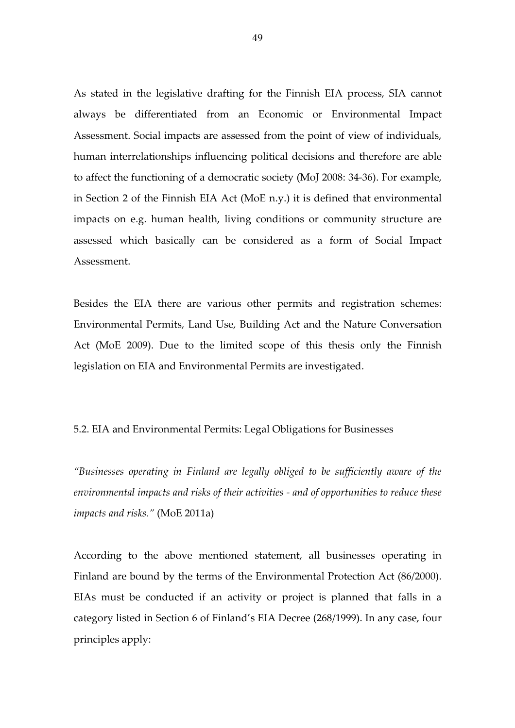As stated in the legislative drafting for the Finnish EIA process, SIA cannot always be differentiated from an Economic or Environmental Impact Assessment. Social impacts are assessed from the point of view of individuals, human interrelationships influencing political decisions and therefore are able to affect the functioning of a democratic society (MoJ 2008: 34-36). For example, in Section 2 of the Finnish EIA Act (MoE n.y.) it is defined that environmental impacts on e.g. human health, living conditions or community structure are assessed which basically can be considered as a form of Social Impact Assessment.

Besides the EIA there are various other permits and registration schemes: Environmental Permits, Land Use, Building Act and the Nature Conversation Act (MoE 2009). Due to the limited scope of this thesis only the Finnish legislation on EIA and Environmental Permits are investigated.

### 5.2. EIA and Environmental Permits: Legal Obligations for Businesses

"Businesses operating in Finland are legally obliged to be sufficiently aware of the environmental impacts and risks of their activities - and of opportunities to reduce these impacts and risks." (MoE 2011a)

According to the above mentioned statement, all businesses operating in Finland are bound by the terms of the Environmental Protection Act (86/2000). EIAs must be conducted if an activity or project is planned that falls in a category listed in Section 6 of Finland's EIA Decree (268/1999). In any case, four principles apply: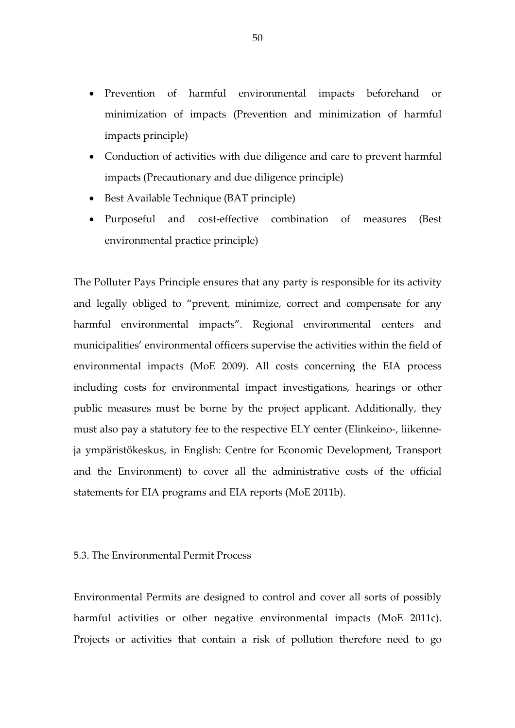- Prevention of harmful environmental impacts beforehand or minimization of impacts (Prevention and minimization of harmful impacts principle)
- Conduction of activities with due diligence and care to prevent harmful impacts (Precautionary and due diligence principle)
- Best Available Technique (BAT principle)
- Purposeful and cost-effective combination of measures (Best environmental practice principle)

The Polluter Pays Principle ensures that any party is responsible for its activity and legally obliged to "prevent, minimize, correct and compensate for any harmful environmental impacts". Regional environmental centers and municipalities' environmental officers supervise the activities within the field of environmental impacts (MoE 2009). All costs concerning the EIA process including costs for environmental impact investigations, hearings or other public measures must be borne by the project applicant. Additionally, they must also pay a statutory fee to the respective ELY center (Elinkeino-, liikenneja ympäristökeskus, in English: Centre for Economic Development, Transport and the Environment) to cover all the administrative costs of the official statements for EIA programs and EIA reports (MoE 2011b).

## 5.3. The Environmental Permit Process

Environmental Permits are designed to control and cover all sorts of possibly harmful activities or other negative environmental impacts (MoE 2011c). Projects or activities that contain a risk of pollution therefore need to go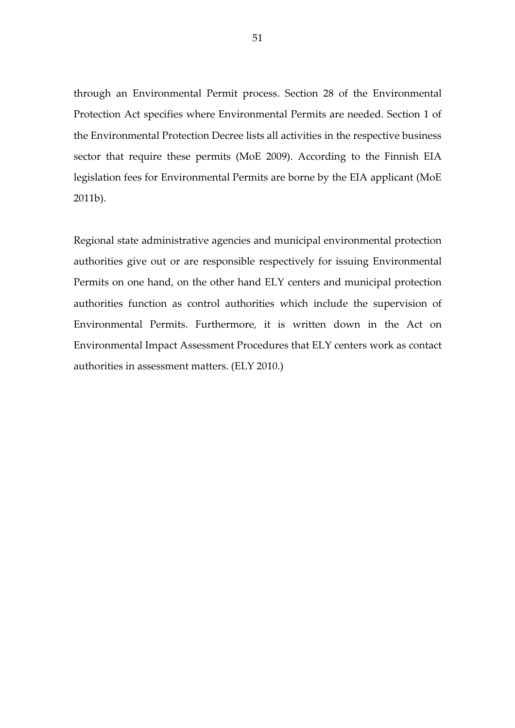through an Environmental Permit process. Section 28 of the Environmental Protection Act specifies where Environmental Permits are needed. Section 1 of the Environmental Protection Decree lists all activities in the respective business sector that require these permits (MoE 2009). According to the Finnish EIA legislation fees for Environmental Permits are borne by the EIA applicant (MoE 2011b).

Regional state administrative agencies and municipal environmental protection authorities give out or are responsible respectively for issuing Environmental Permits on one hand, on the other hand ELY centers and municipal protection authorities function as control authorities which include the supervision of Environmental Permits. Furthermore, it is written down in the Act on Environmental Impact Assessment Procedures that ELY centers work as contact authorities in assessment matters. (ELY 2010.)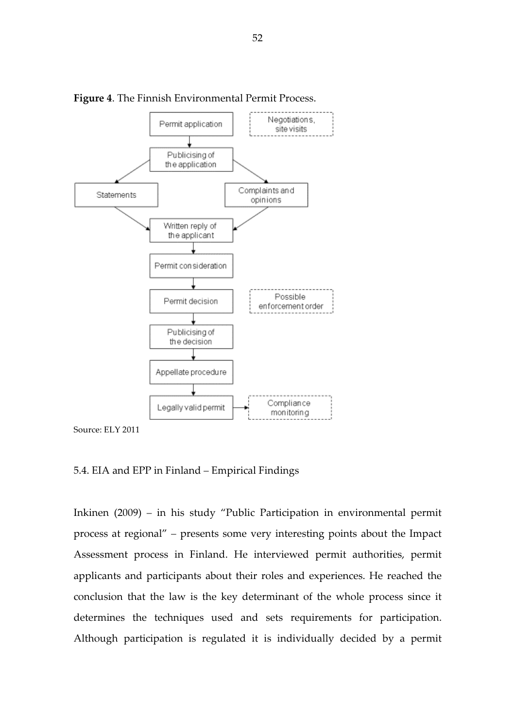



### 5.4. EIA and EPP in Finland – Empirical Findings

Inkinen (2009) – in his study "Public Participation in environmental permit process at regional" – presents some very interesting points about the Impact Assessment process in Finland. He interviewed permit authorities, permit applicants and participants about their roles and experiences. He reached the conclusion that the law is the key determinant of the whole process since it determines the techniques used and sets requirements for participation. Although participation is regulated it is individually decided by a permit

Source: ELY 2011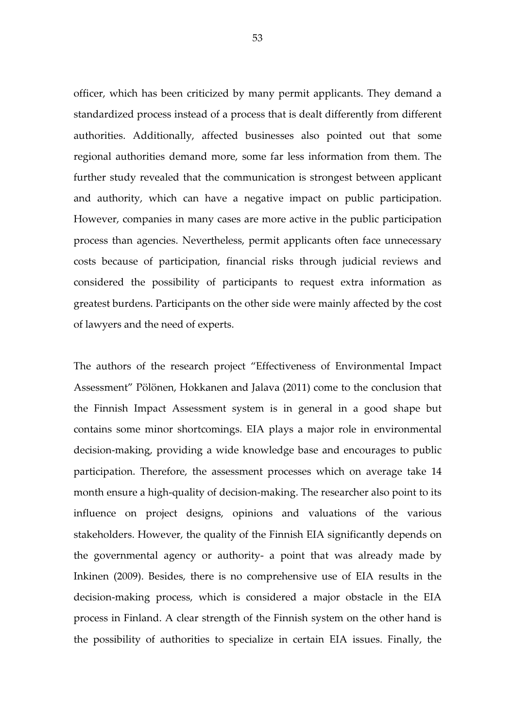officer, which has been criticized by many permit applicants. They demand a standardized process instead of a process that is dealt differently from different authorities. Additionally, affected businesses also pointed out that some regional authorities demand more, some far less information from them. The further study revealed that the communication is strongest between applicant and authority, which can have a negative impact on public participation. However, companies in many cases are more active in the public participation process than agencies. Nevertheless, permit applicants often face unnecessary costs because of participation, financial risks through judicial reviews and considered the possibility of participants to request extra information as greatest burdens. Participants on the other side were mainly affected by the cost of lawyers and the need of experts.

The authors of the research project "Effectiveness of Environmental Impact Assessment" Pölönen, Hokkanen and Jalava (2011) come to the conclusion that the Finnish Impact Assessment system is in general in a good shape but contains some minor shortcomings. EIA plays a major role in environmental decision-making, providing a wide knowledge base and encourages to public participation. Therefore, the assessment processes which on average take 14 month ensure a high-quality of decision-making. The researcher also point to its influence on project designs, opinions and valuations of the various stakeholders. However, the quality of the Finnish EIA significantly depends on the governmental agency or authority- a point that was already made by Inkinen (2009). Besides, there is no comprehensive use of EIA results in the decision-making process, which is considered a major obstacle in the EIA process in Finland. A clear strength of the Finnish system on the other hand is the possibility of authorities to specialize in certain EIA issues. Finally, the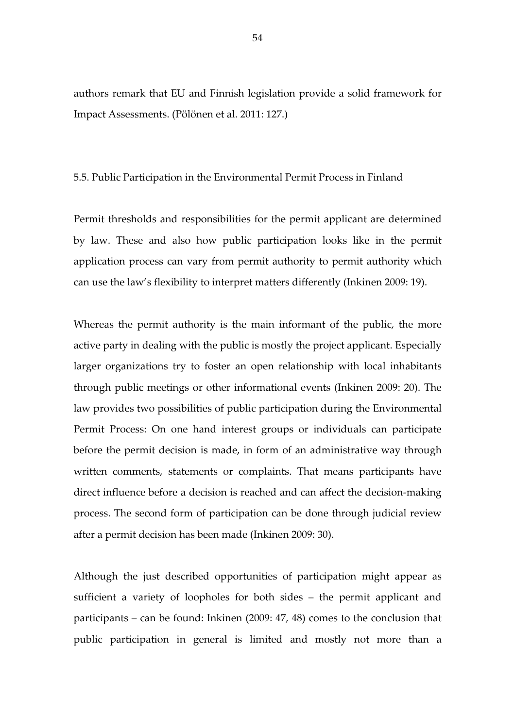authors remark that EU and Finnish legislation provide a solid framework for Impact Assessments. (Pölönen et al. 2011: 127.)

### 5.5. Public Participation in the Environmental Permit Process in Finland

Permit thresholds and responsibilities for the permit applicant are determined by law. These and also how public participation looks like in the permit application process can vary from permit authority to permit authority which can use the law's flexibility to interpret matters differently (Inkinen 2009: 19).

Whereas the permit authority is the main informant of the public, the more active party in dealing with the public is mostly the project applicant. Especially larger organizations try to foster an open relationship with local inhabitants through public meetings or other informational events (Inkinen 2009: 20). The law provides two possibilities of public participation during the Environmental Permit Process: On one hand interest groups or individuals can participate before the permit decision is made, in form of an administrative way through written comments, statements or complaints. That means participants have direct influence before a decision is reached and can affect the decision-making process. The second form of participation can be done through judicial review after a permit decision has been made (Inkinen 2009: 30).

Although the just described opportunities of participation might appear as sufficient a variety of loopholes for both sides – the permit applicant and participants – can be found: Inkinen (2009: 47, 48) comes to the conclusion that public participation in general is limited and mostly not more than a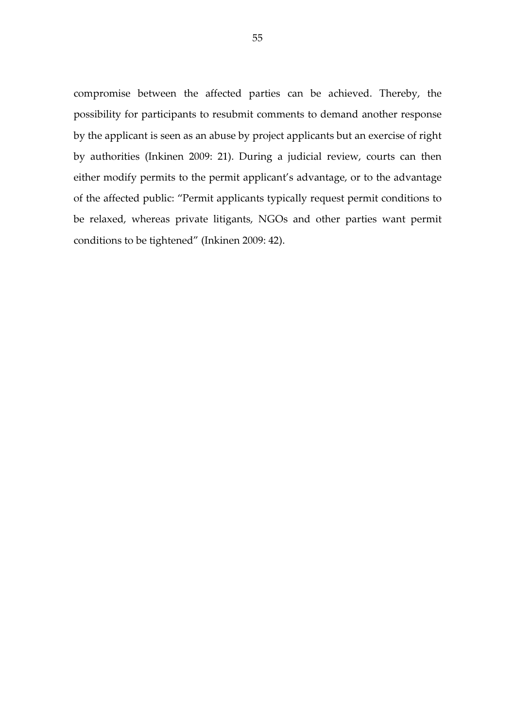compromise between the affected parties can be achieved. Thereby, the possibility for participants to resubmit comments to demand another response by the applicant is seen as an abuse by project applicants but an exercise of right by authorities (Inkinen 2009: 21). During a judicial review, courts can then either modify permits to the permit applicant's advantage, or to the advantage of the affected public: "Permit applicants typically request permit conditions to be relaxed, whereas private litigants, NGOs and other parties want permit conditions to be tightened" (Inkinen 2009: 42).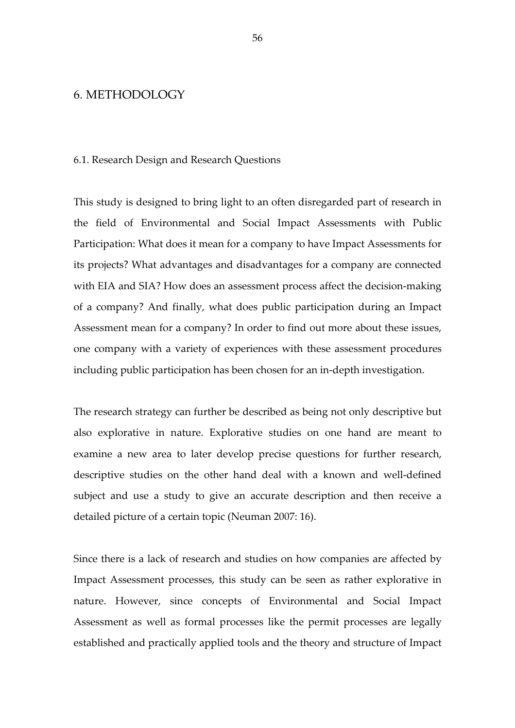## 6. METHODOLOGY

#### 6.1. Research Design and Research Questions

This study is designed to bring light to an often disregarded part of research in the field of Environmental and Social Impact Assessments with Public Participation: What does it mean for a company to have Impact Assessments for its projects? What advantages and disadvantages for a company are connected with EIA and SIA? How does an assessment process affect the decision-making of a company? And finally, what does public participation during an Impact Assessment mean for a company? In order to find out more about these issues, one company with a variety of experiences with these assessment procedures including public participation has been chosen for an in-depth investigation.

The research strategy can further be described as being not only descriptive but also explorative in nature. Explorative studies on one hand are meant to examine a new area to later develop precise questions for further research, descriptive studies on the other hand deal with a known and well-defined subject and use a study to give an accurate description and then receive a detailed picture of a certain topic (Neuman 2007: 16).

Since there is a lack of research and studies on how companies are affected by Impact Assessment processes, this study can be seen as rather explorative in nature. However, since concepts of Environmental and Social Impact Assessment as well as formal processes like the permit processes are legally established and practically applied tools and the theory and structure of Impact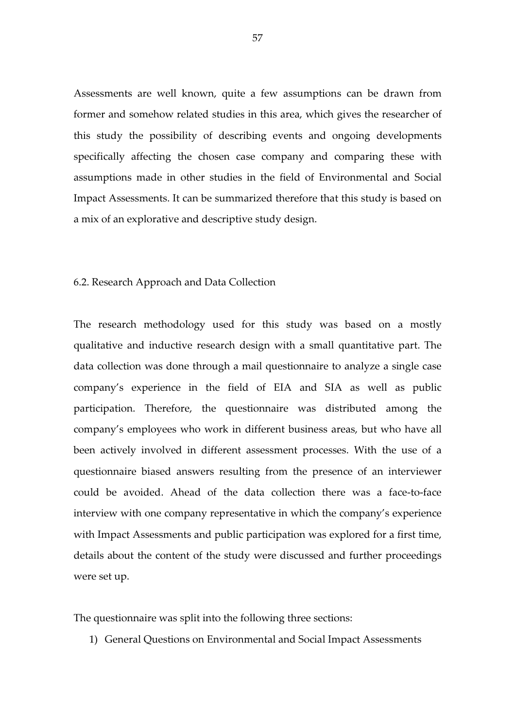Assessments are well known, quite a few assumptions can be drawn from former and somehow related studies in this area, which gives the researcher of this study the possibility of describing events and ongoing developments specifically affecting the chosen case company and comparing these with assumptions made in other studies in the field of Environmental and Social Impact Assessments. It can be summarized therefore that this study is based on a mix of an explorative and descriptive study design.

### 6.2. Research Approach and Data Collection

The research methodology used for this study was based on a mostly qualitative and inductive research design with a small quantitative part. The data collection was done through a mail questionnaire to analyze a single case company's experience in the field of EIA and SIA as well as public participation. Therefore, the questionnaire was distributed among the company's employees who work in different business areas, but who have all been actively involved in different assessment processes. With the use of a questionnaire biased answers resulting from the presence of an interviewer could be avoided. Ahead of the data collection there was a face-to-face interview with one company representative in which the company's experience with Impact Assessments and public participation was explored for a first time, details about the content of the study were discussed and further proceedings were set up.

The questionnaire was split into the following three sections:

1) General Questions on Environmental and Social Impact Assessments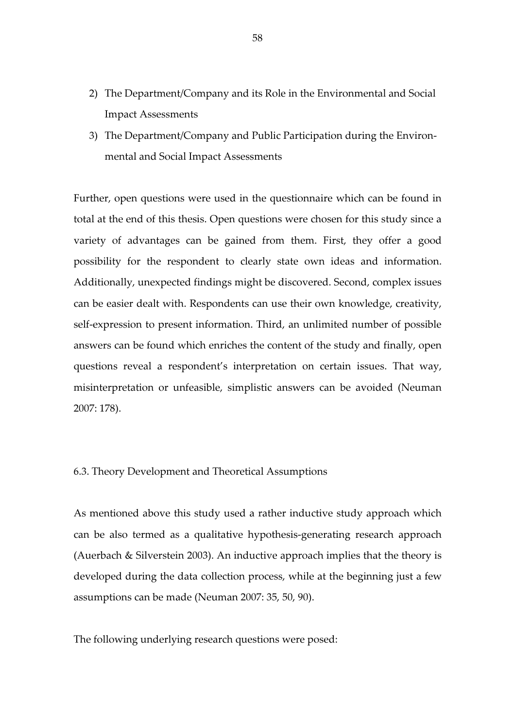- 2) The Department/Company and its Role in the Environmental and Social Impact Assessments
- 3) The Department/Company and Public Participation during the Environmental and Social Impact Assessments

Further, open questions were used in the questionnaire which can be found in total at the end of this thesis. Open questions were chosen for this study since a variety of advantages can be gained from them. First, they offer a good possibility for the respondent to clearly state own ideas and information. Additionally, unexpected findings might be discovered. Second, complex issues can be easier dealt with. Respondents can use their own knowledge, creativity, self-expression to present information. Third, an unlimited number of possible answers can be found which enriches the content of the study and finally, open questions reveal a respondent's interpretation on certain issues. That way, misinterpretation or unfeasible, simplistic answers can be avoided (Neuman 2007: 178).

## 6.3. Theory Development and Theoretical Assumptions

As mentioned above this study used a rather inductive study approach which can be also termed as a qualitative hypothesis-generating research approach (Auerbach & Silverstein 2003). An inductive approach implies that the theory is developed during the data collection process, while at the beginning just a few assumptions can be made (Neuman 2007: 35, 50, 90).

The following underlying research questions were posed: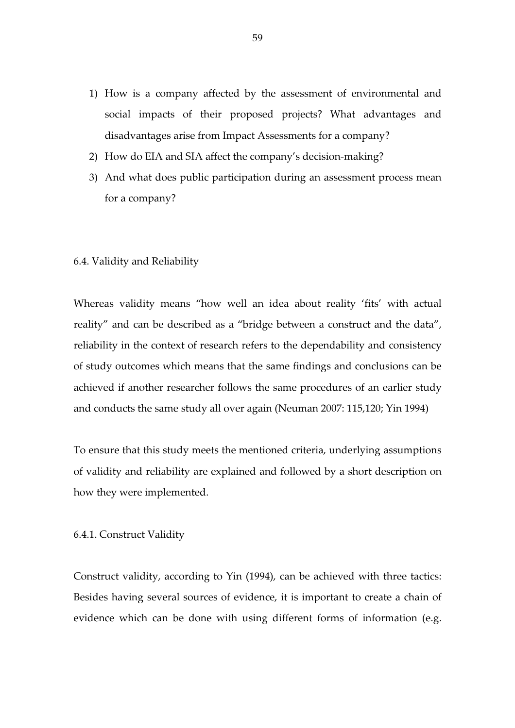- 1) How is a company affected by the assessment of environmental and social impacts of their proposed projects? What advantages and disadvantages arise from Impact Assessments for a company?
- 2) How do EIA and SIA affect the company's decision-making?
- 3) And what does public participation during an assessment process mean for a company?

#### 6.4. Validity and Reliability

Whereas validity means "how well an idea about reality 'fits' with actual reality" and can be described as a "bridge between a construct and the data", reliability in the context of research refers to the dependability and consistency of study outcomes which means that the same findings and conclusions can be achieved if another researcher follows the same procedures of an earlier study and conducts the same study all over again (Neuman 2007: 115,120; Yin 1994)

To ensure that this study meets the mentioned criteria, underlying assumptions of validity and reliability are explained and followed by a short description on how they were implemented.

## 6.4.1. Construct Validity

Construct validity, according to Yin (1994), can be achieved with three tactics: Besides having several sources of evidence, it is important to create a chain of evidence which can be done with using different forms of information (e.g.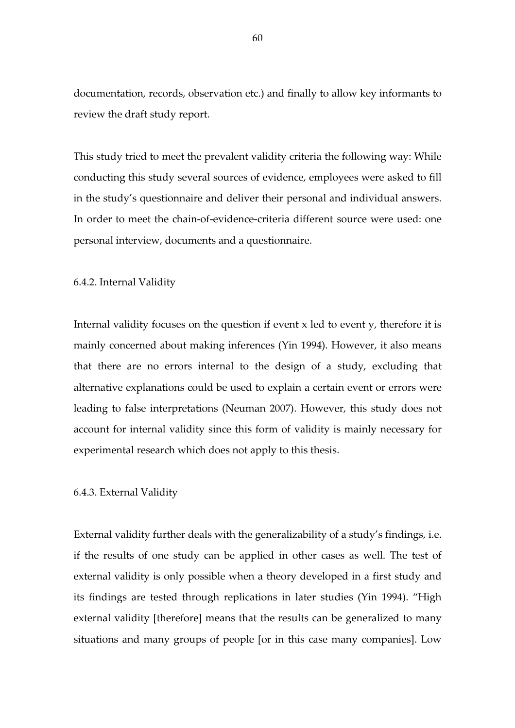documentation, records, observation etc.) and finally to allow key informants to review the draft study report.

This study tried to meet the prevalent validity criteria the following way: While conducting this study several sources of evidence, employees were asked to fill in the study's questionnaire and deliver their personal and individual answers. In order to meet the chain-of-evidence-criteria different source were used: one personal interview, documents and a questionnaire.

### 6.4.2. Internal Validity

Internal validity focuses on the question if event x led to event y, therefore it is mainly concerned about making inferences (Yin 1994). However, it also means that there are no errors internal to the design of a study, excluding that alternative explanations could be used to explain a certain event or errors were leading to false interpretations (Neuman 2007). However, this study does not account for internal validity since this form of validity is mainly necessary for experimental research which does not apply to this thesis.

#### 6.4.3. External Validity

External validity further deals with the generalizability of a study's findings, i.e. if the results of one study can be applied in other cases as well. The test of external validity is only possible when a theory developed in a first study and its findings are tested through replications in later studies (Yin 1994). "High external validity [therefore] means that the results can be generalized to many situations and many groups of people [or in this case many companies]. Low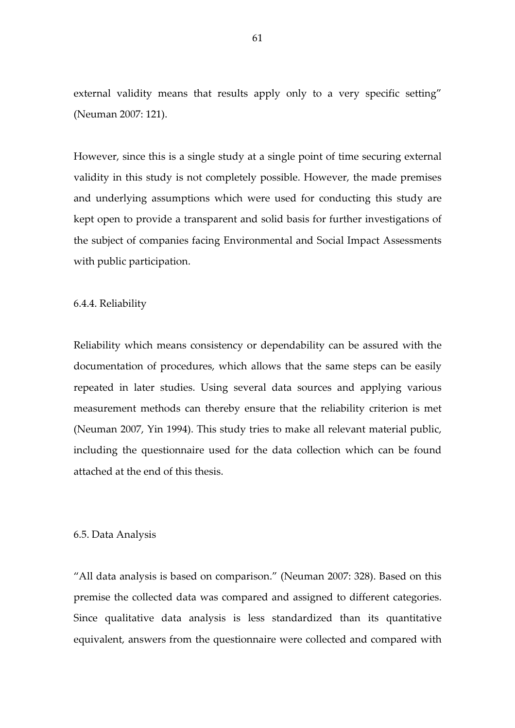external validity means that results apply only to a very specific setting" (Neuman 2007: 121).

However, since this is a single study at a single point of time securing external validity in this study is not completely possible. However, the made premises and underlying assumptions which were used for conducting this study are kept open to provide a transparent and solid basis for further investigations of the subject of companies facing Environmental and Social Impact Assessments with public participation.

6.4.4. Reliability

Reliability which means consistency or dependability can be assured with the documentation of procedures, which allows that the same steps can be easily repeated in later studies. Using several data sources and applying various measurement methods can thereby ensure that the reliability criterion is met (Neuman 2007, Yin 1994). This study tries to make all relevant material public, including the questionnaire used for the data collection which can be found attached at the end of this thesis.

## 6.5. Data Analysis

"All data analysis is based on comparison." (Neuman 2007: 328). Based on this premise the collected data was compared and assigned to different categories. Since qualitative data analysis is less standardized than its quantitative equivalent, answers from the questionnaire were collected and compared with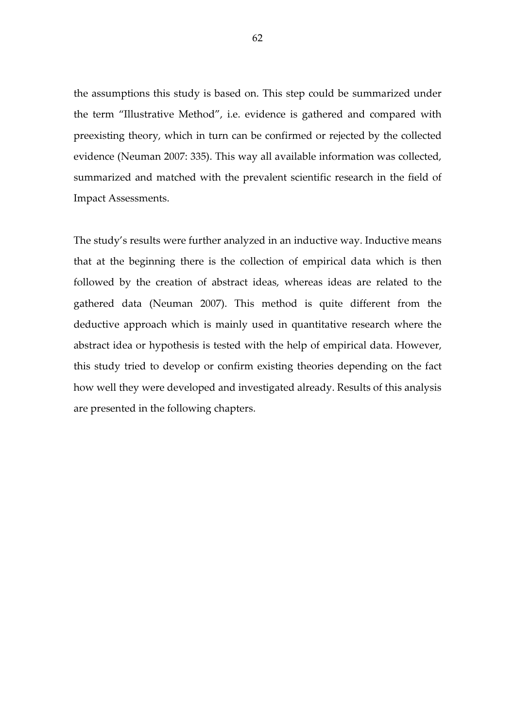the assumptions this study is based on. This step could be summarized under the term "Illustrative Method", i.e. evidence is gathered and compared with preexisting theory, which in turn can be confirmed or rejected by the collected evidence (Neuman 2007: 335). This way all available information was collected, summarized and matched with the prevalent scientific research in the field of Impact Assessments.

The study's results were further analyzed in an inductive way. Inductive means that at the beginning there is the collection of empirical data which is then followed by the creation of abstract ideas, whereas ideas are related to the gathered data (Neuman 2007). This method is quite different from the deductive approach which is mainly used in quantitative research where the abstract idea or hypothesis is tested with the help of empirical data. However, this study tried to develop or confirm existing theories depending on the fact how well they were developed and investigated already. Results of this analysis are presented in the following chapters.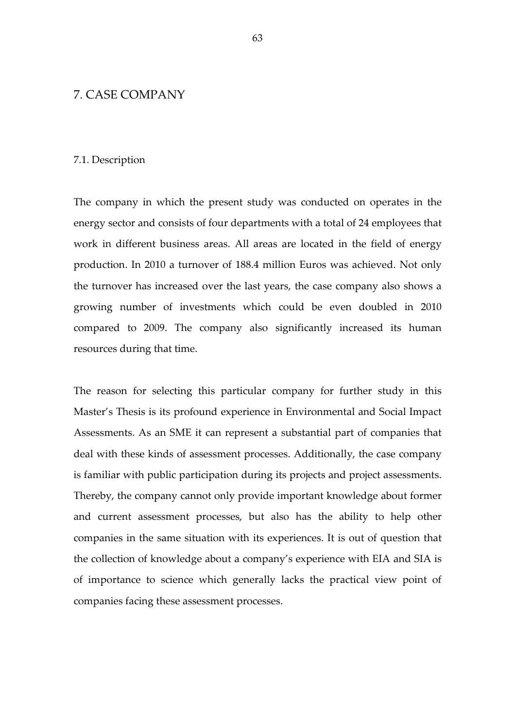## 7. CASE COMPANY

#### 7.1. Description

The company in which the present study was conducted on operates in the energy sector and consists of four departments with a total of 24 employees that work in different business areas. All areas are located in the field of energy production. In 2010 a turnover of 188.4 million Euros was achieved. Not only the turnover has increased over the last years, the case company also shows a growing number of investments which could be even doubled in 2010 compared to 2009. The company also significantly increased its human resources during that time.

The reason for selecting this particular company for further study in this Master's Thesis is its profound experience in Environmental and Social Impact Assessments. As an SME it can represent a substantial part of companies that deal with these kinds of assessment processes. Additionally, the case company is familiar with public participation during its projects and project assessments. Thereby, the company cannot only provide important knowledge about former and current assessment processes, but also has the ability to help other companies in the same situation with its experiences. It is out of question that the collection of knowledge about a company's experience with EIA and SIA is of importance to science which generally lacks the practical view point of companies facing these assessment processes.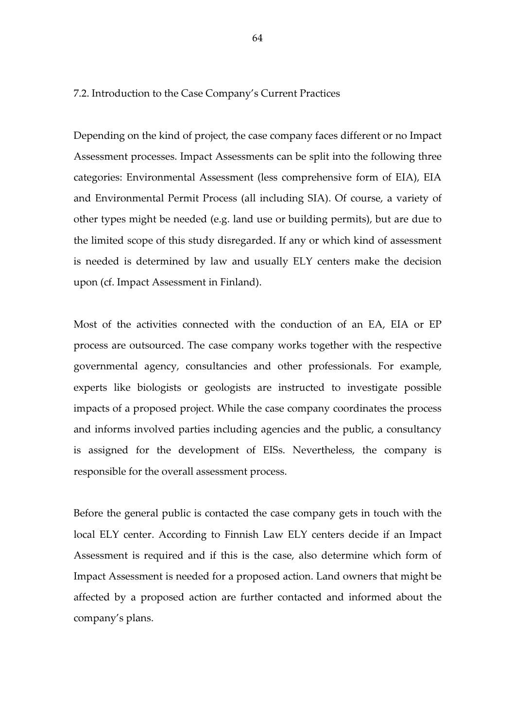7.2. Introduction to the Case Company's Current Practices

Depending on the kind of project, the case company faces different or no Impact Assessment processes. Impact Assessments can be split into the following three categories: Environmental Assessment (less comprehensive form of EIA), EIA and Environmental Permit Process (all including SIA). Of course, a variety of other types might be needed (e.g. land use or building permits), but are due to the limited scope of this study disregarded. If any or which kind of assessment is needed is determined by law and usually ELY centers make the decision upon (cf. Impact Assessment in Finland).

Most of the activities connected with the conduction of an EA, EIA or EP process are outsourced. The case company works together with the respective governmental agency, consultancies and other professionals. For example, experts like biologists or geologists are instructed to investigate possible impacts of a proposed project. While the case company coordinates the process and informs involved parties including agencies and the public, a consultancy is assigned for the development of EISs. Nevertheless, the company is responsible for the overall assessment process.

Before the general public is contacted the case company gets in touch with the local ELY center. According to Finnish Law ELY centers decide if an Impact Assessment is required and if this is the case, also determine which form of Impact Assessment is needed for a proposed action. Land owners that might be affected by a proposed action are further contacted and informed about the company's plans.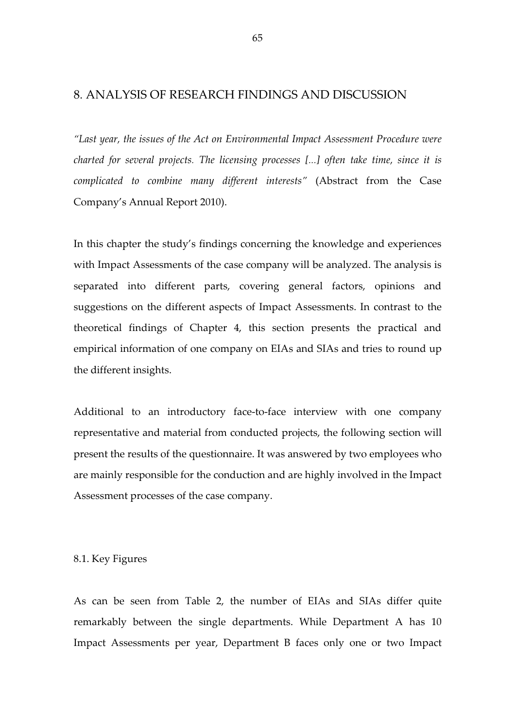## 8. ANALYSIS OF RESEARCH FINDINGS AND DISCUSSION

"Last year, the issues of the Act on Environmental Impact Assessment Procedure were charted for several projects. The licensing processes [...] often take time, since it is complicated to combine many different interests" (Abstract from the Case Company's Annual Report 2010).

In this chapter the study's findings concerning the knowledge and experiences with Impact Assessments of the case company will be analyzed. The analysis is separated into different parts, covering general factors, opinions and suggestions on the different aspects of Impact Assessments. In contrast to the theoretical findings of Chapter 4, this section presents the practical and empirical information of one company on EIAs and SIAs and tries to round up the different insights.

Additional to an introductory face-to-face interview with one company representative and material from conducted projects, the following section will present the results of the questionnaire. It was answered by two employees who are mainly responsible for the conduction and are highly involved in the Impact Assessment processes of the case company.

#### 8.1. Key Figures

As can be seen from Table 2, the number of EIAs and SIAs differ quite remarkably between the single departments. While Department A has 10 Impact Assessments per year, Department B faces only one or two Impact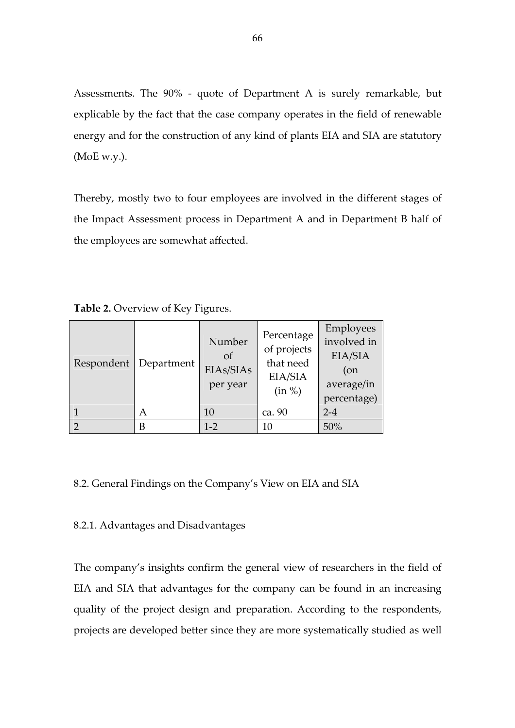Assessments. The 90% - quote of Department A is surely remarkable, but explicable by the fact that the case company operates in the field of renewable energy and for the construction of any kind of plants EIA and SIA are statutory (MoE w.y.).

Thereby, mostly two to four employees are involved in the different stages of the Impact Assessment process in Department A and in Department B half of the employees are somewhat affected.

Table 2. Overview of Key Figures.

| Respondent | Department | Number<br><sub>of</sub><br>EIAs/SIAs<br>per year | Percentage<br>of projects<br>that need<br>EIA/SIA<br>(in %) | Employees<br>involved in<br>EIA/SIA<br>$($ on<br>average/in<br>percentage) |
|------------|------------|--------------------------------------------------|-------------------------------------------------------------|----------------------------------------------------------------------------|
|            | А          | 10                                               | ca. 90                                                      | $2 - 4$                                                                    |
|            | B          | $1 - 2$                                          | 10                                                          | 50%                                                                        |

# 8.2. General Findings on the Company's View on EIA and SIA

# 8.2.1. Advantages and Disadvantages

The company's insights confirm the general view of researchers in the field of EIA and SIA that advantages for the company can be found in an increasing quality of the project design and preparation. According to the respondents, projects are developed better since they are more systematically studied as well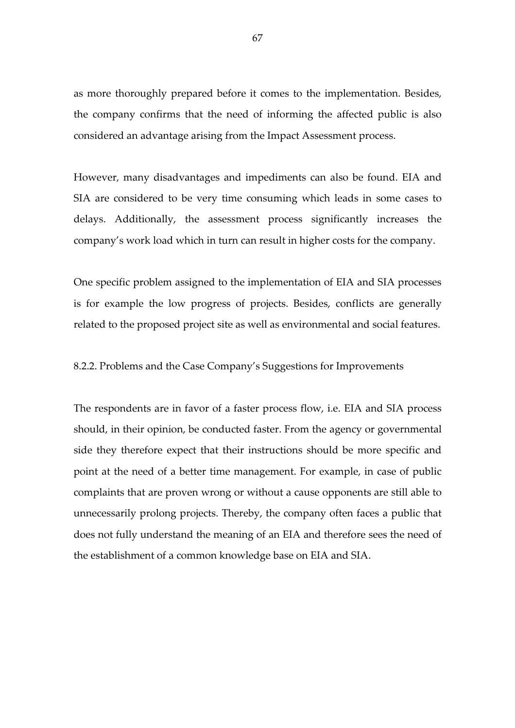as more thoroughly prepared before it comes to the implementation. Besides, the company confirms that the need of informing the affected public is also considered an advantage arising from the Impact Assessment process.

However, many disadvantages and impediments can also be found. EIA and SIA are considered to be very time consuming which leads in some cases to delays. Additionally, the assessment process significantly increases the company's work load which in turn can result in higher costs for the company.

One specific problem assigned to the implementation of EIA and SIA processes is for example the low progress of projects. Besides, conflicts are generally related to the proposed project site as well as environmental and social features.

## 8.2.2. Problems and the Case Company's Suggestions for Improvements

The respondents are in favor of a faster process flow, i.e. EIA and SIA process should, in their opinion, be conducted faster. From the agency or governmental side they therefore expect that their instructions should be more specific and point at the need of a better time management. For example, in case of public complaints that are proven wrong or without a cause opponents are still able to unnecessarily prolong projects. Thereby, the company often faces a public that does not fully understand the meaning of an EIA and therefore sees the need of the establishment of a common knowledge base on EIA and SIA.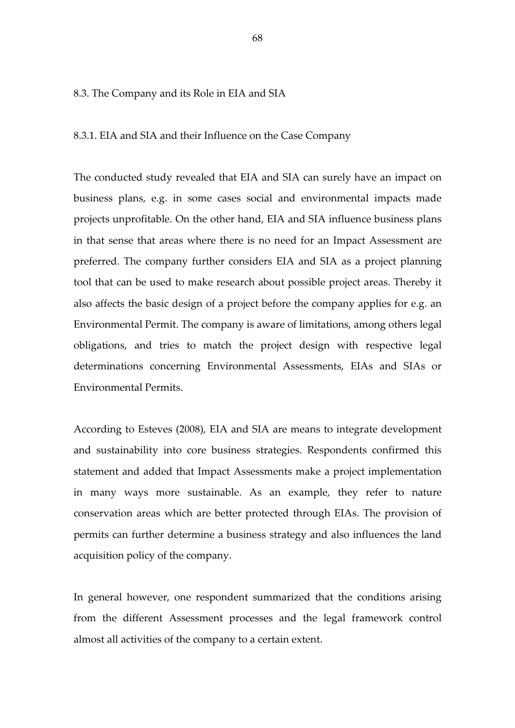#### 8.3. The Company and its Role in EIA and SIA

8.3.1. EIA and SIA and their Influence on the Case Company

The conducted study revealed that EIA and SIA can surely have an impact on business plans, e.g. in some cases social and environmental impacts made projects unprofitable. On the other hand, EIA and SIA influence business plans in that sense that areas where there is no need for an Impact Assessment are preferred. The company further considers EIA and SIA as a project planning tool that can be used to make research about possible project areas. Thereby it also affects the basic design of a project before the company applies for e.g. an Environmental Permit. The company is aware of limitations, among others legal obligations, and tries to match the project design with respective legal determinations concerning Environmental Assessments, EIAs and SIAs or Environmental Permits.

According to Esteves (2008), EIA and SIA are means to integrate development and sustainability into core business strategies. Respondents confirmed this statement and added that Impact Assessments make a project implementation in many ways more sustainable. As an example, they refer to nature conservation areas which are better protected through EIAs. The provision of permits can further determine a business strategy and also influences the land acquisition policy of the company.

In general however, one respondent summarized that the conditions arising from the different Assessment processes and the legal framework control almost all activities of the company to a certain extent.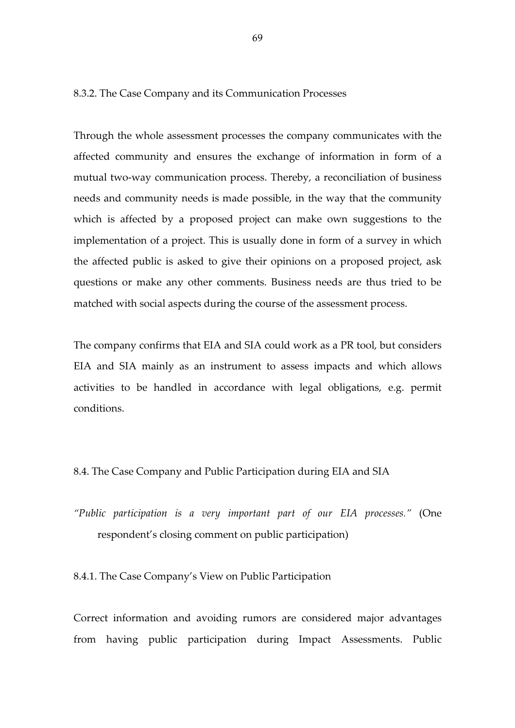8.3.2. The Case Company and its Communication Processes

Through the whole assessment processes the company communicates with the affected community and ensures the exchange of information in form of a mutual two-way communication process. Thereby, a reconciliation of business needs and community needs is made possible, in the way that the community which is affected by a proposed project can make own suggestions to the implementation of a project. This is usually done in form of a survey in which the affected public is asked to give their opinions on a proposed project, ask questions or make any other comments. Business needs are thus tried to be matched with social aspects during the course of the assessment process.

The company confirms that EIA and SIA could work as a PR tool, but considers EIA and SIA mainly as an instrument to assess impacts and which allows activities to be handled in accordance with legal obligations, e.g. permit conditions.

- 8.4. The Case Company and Public Participation during EIA and SIA
- "Public participation is a very important part of our EIA processes." (One respondent's closing comment on public participation)

8.4.1. The Case Company's View on Public Participation

Correct information and avoiding rumors are considered major advantages from having public participation during Impact Assessments. Public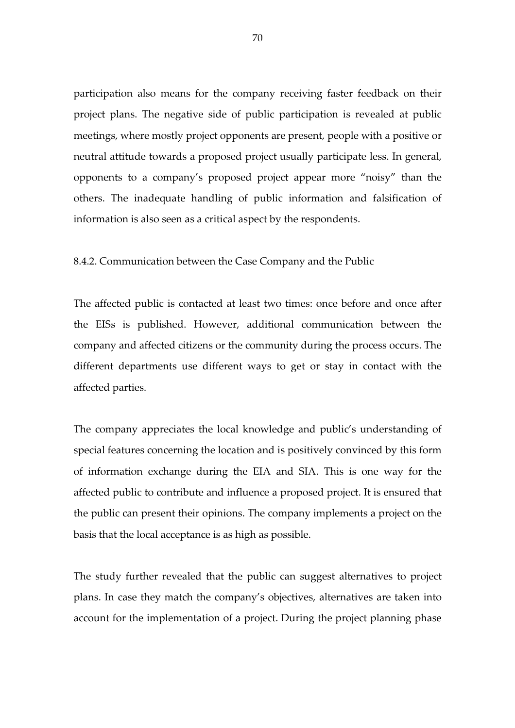participation also means for the company receiving faster feedback on their project plans. The negative side of public participation is revealed at public meetings, where mostly project opponents are present, people with a positive or neutral attitude towards a proposed project usually participate less. In general, opponents to a company's proposed project appear more "noisy" than the others. The inadequate handling of public information and falsification of information is also seen as a critical aspect by the respondents.

#### 8.4.2. Communication between the Case Company and the Public

The affected public is contacted at least two times: once before and once after the EISs is published. However, additional communication between the company and affected citizens or the community during the process occurs. The different departments use different ways to get or stay in contact with the affected parties.

The company appreciates the local knowledge and public's understanding of special features concerning the location and is positively convinced by this form of information exchange during the EIA and SIA. This is one way for the affected public to contribute and influence a proposed project. It is ensured that the public can present their opinions. The company implements a project on the basis that the local acceptance is as high as possible.

The study further revealed that the public can suggest alternatives to project plans. In case they match the company's objectives, alternatives are taken into account for the implementation of a project. During the project planning phase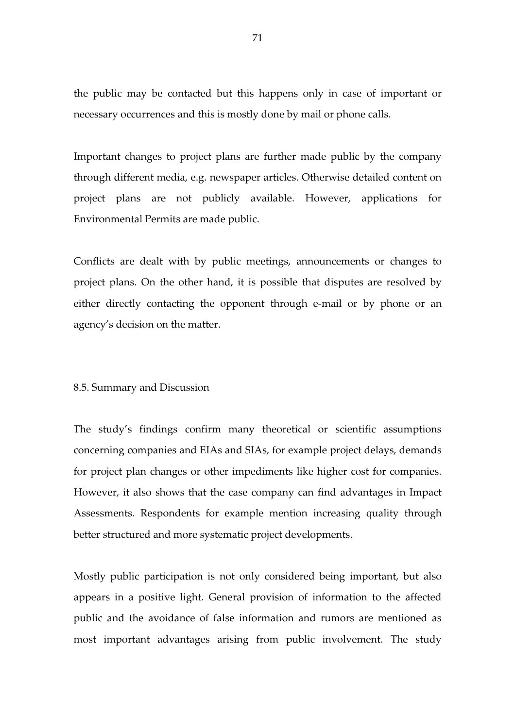the public may be contacted but this happens only in case of important or necessary occurrences and this is mostly done by mail or phone calls.

Important changes to project plans are further made public by the company through different media, e.g. newspaper articles. Otherwise detailed content on project plans are not publicly available. However, applications for Environmental Permits are made public.

Conflicts are dealt with by public meetings, announcements or changes to project plans. On the other hand, it is possible that disputes are resolved by either directly contacting the opponent through e-mail or by phone or an agency's decision on the matter.

#### 8.5. Summary and Discussion

The study's findings confirm many theoretical or scientific assumptions concerning companies and EIAs and SIAs, for example project delays, demands for project plan changes or other impediments like higher cost for companies. However, it also shows that the case company can find advantages in Impact Assessments. Respondents for example mention increasing quality through better structured and more systematic project developments.

Mostly public participation is not only considered being important, but also appears in a positive light. General provision of information to the affected public and the avoidance of false information and rumors are mentioned as most important advantages arising from public involvement. The study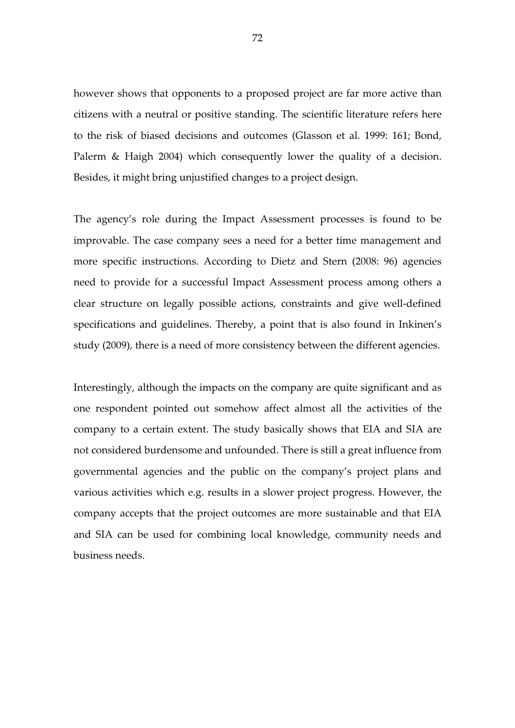however shows that opponents to a proposed project are far more active than citizens with a neutral or positive standing. The scientific literature refers here to the risk of biased decisions and outcomes (Glasson et al. 1999: 161; Bond, Palerm & Haigh 2004) which consequently lower the quality of a decision. Besides, it might bring unjustified changes to a project design.

The agency's role during the Impact Assessment processes is found to be improvable. The case company sees a need for a better time management and more specific instructions. According to Dietz and Stern (2008: 96) agencies need to provide for a successful Impact Assessment process among others a clear structure on legally possible actions, constraints and give well-defined specifications and guidelines. Thereby, a point that is also found in Inkinen's study (2009), there is a need of more consistency between the different agencies.

Interestingly, although the impacts on the company are quite significant and as one respondent pointed out somehow affect almost all the activities of the company to a certain extent. The study basically shows that EIA and SIA are not considered burdensome and unfounded. There is still a great influence from governmental agencies and the public on the company's project plans and various activities which e.g. results in a slower project progress. However, the company accepts that the project outcomes are more sustainable and that EIA and SIA can be used for combining local knowledge, community needs and business needs.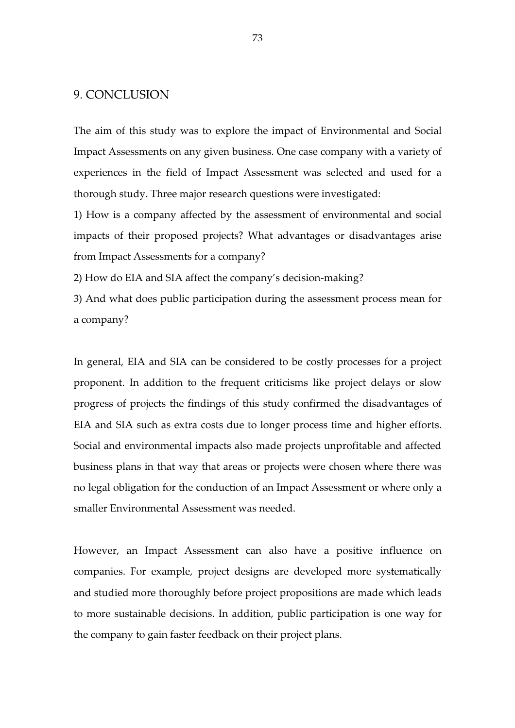### 9. CONCLUSION

The aim of this study was to explore the impact of Environmental and Social Impact Assessments on any given business. One case company with a variety of experiences in the field of Impact Assessment was selected and used for a thorough study. Three major research questions were investigated:

1) How is a company affected by the assessment of environmental and social impacts of their proposed projects? What advantages or disadvantages arise from Impact Assessments for a company?

2) How do EIA and SIA affect the company's decision-making?

3) And what does public participation during the assessment process mean for a company?

In general, EIA and SIA can be considered to be costly processes for a project proponent. In addition to the frequent criticisms like project delays or slow progress of projects the findings of this study confirmed the disadvantages of EIA and SIA such as extra costs due to longer process time and higher efforts. Social and environmental impacts also made projects unprofitable and affected business plans in that way that areas or projects were chosen where there was no legal obligation for the conduction of an Impact Assessment or where only a smaller Environmental Assessment was needed.

However, an Impact Assessment can also have a positive influence on companies. For example, project designs are developed more systematically and studied more thoroughly before project propositions are made which leads to more sustainable decisions. In addition, public participation is one way for the company to gain faster feedback on their project plans.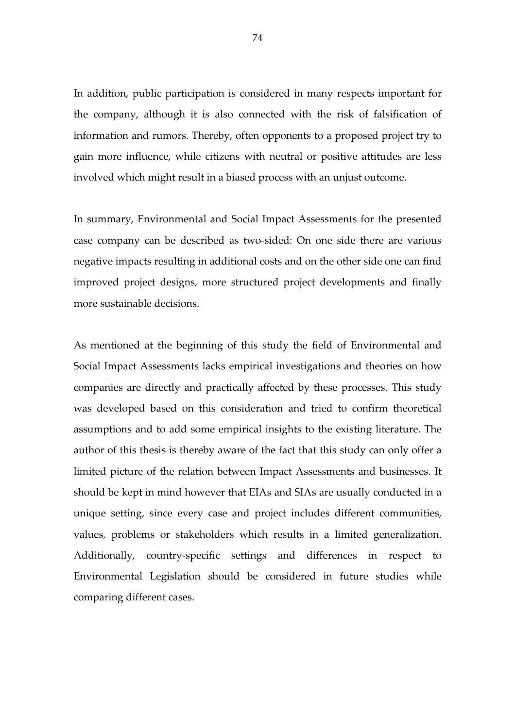In addition, public participation is considered in many respects important for the company, although it is also connected with the risk of falsification of information and rumors. Thereby, often opponents to a proposed project try to gain more influence, while citizens with neutral or positive attitudes are less involved which might result in a biased process with an unjust outcome.

In summary, Environmental and Social Impact Assessments for the presented case company can be described as two-sided: On one side there are various negative impacts resulting in additional costs and on the other side one can find improved project designs, more structured project developments and finally more sustainable decisions.

As mentioned at the beginning of this study the field of Environmental and Social Impact Assessments lacks empirical investigations and theories on how companies are directly and practically affected by these processes. This study was developed based on this consideration and tried to confirm theoretical assumptions and to add some empirical insights to the existing literature. The author of this thesis is thereby aware of the fact that this study can only offer a limited picture of the relation between Impact Assessments and businesses. It should be kept in mind however that EIAs and SIAs are usually conducted in a unique setting, since every case and project includes different communities, values, problems or stakeholders which results in a limited generalization. Additionally, country-specific settings and differences in respect to Environmental Legislation should be considered in future studies while comparing different cases.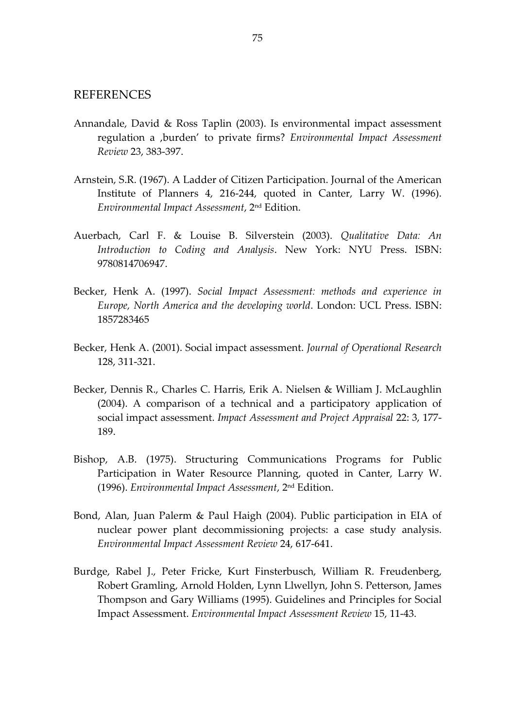#### REFERENCES

- Annandale, David & Ross Taplin (2003). Is environmental impact assessment regulation a 'burden' to private firms? Environmental Impact Assessment Review 23, 383-397.
- Arnstein, S.R. (1967). A Ladder of Citizen Participation. Journal of the American Institute of Planners 4, 216-244, quoted in Canter, Larry W. (1996). Environmental Impact Assessment, 2nd Edition.
- Auerbach, Carl F. & Louise B. Silverstein (2003). Qualitative Data: An Introduction to Coding and Analysis. New York: NYU Press. ISBN: 9780814706947.
- Becker, Henk A. (1997). Social Impact Assessment: methods and experience in Europe, North America and the developing world. London: UCL Press. ISBN: 1857283465
- Becker, Henk A. (2001). Social impact assessment. Journal of Operational Research 128, 311-321.
- Becker, Dennis R., Charles C. Harris, Erik A. Nielsen & William J. McLaughlin (2004). A comparison of a technical and a participatory application of social impact assessment. Impact Assessment and Project Appraisal 22: 3, 177- 189.
- Bishop, A.B. (1975). Structuring Communications Programs for Public Participation in Water Resource Planning, quoted in Canter, Larry W. (1996). Environmental Impact Assessment, 2nd Edition.
- Bond, Alan, Juan Palerm & Paul Haigh (2004). Public participation in EIA of nuclear power plant decommissioning projects: a case study analysis. Environmental Impact Assessment Review 24, 617-641.
- Burdge, Rabel J., Peter Fricke, Kurt Finsterbusch, William R. Freudenberg, Robert Gramling, Arnold Holden, Lynn Llwellyn, John S. Petterson, James Thompson and Gary Williams (1995). Guidelines and Principles for Social Impact Assessment. Environmental Impact Assessment Review 15, 11-43.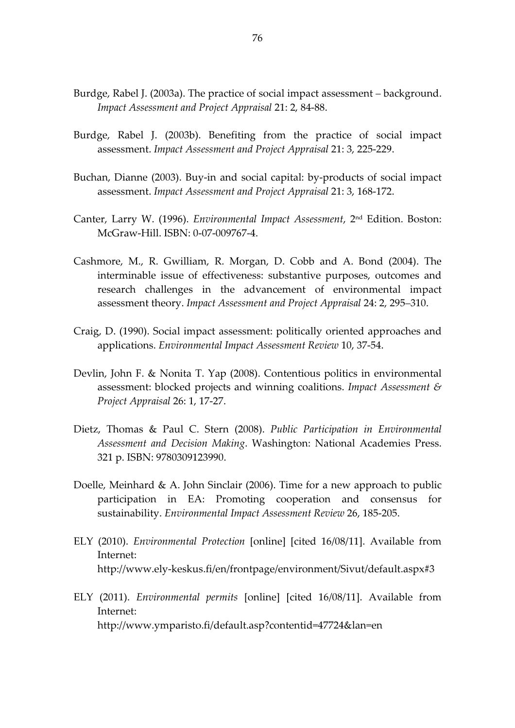- Burdge, Rabel J. (2003a). The practice of social impact assessment background. Impact Assessment and Project Appraisal 21: 2, 84-88.
- Burdge, Rabel J. (2003b). Benefiting from the practice of social impact assessment. Impact Assessment and Project Appraisal 21: 3, 225-229.
- Buchan, Dianne (2003). Buy-in and social capital: by-products of social impact assessment. Impact Assessment and Project Appraisal 21: 3, 168-172.
- Canter, Larry W. (1996). Environmental Impact Assessment, 2nd Edition. Boston: McGraw-Hill. ISBN: 0-07-009767-4.
- Cashmore, M., R. Gwilliam, R. Morgan, D. Cobb and A. Bond (2004). The interminable issue of effectiveness: substantive purposes, outcomes and research challenges in the advancement of environmental impact assessment theory. Impact Assessment and Project Appraisal 24: 2, 295–310.
- Craig, D. (1990). Social impact assessment: politically oriented approaches and applications. Environmental Impact Assessment Review 10, 37-54.
- Devlin, John F. & Nonita T. Yap (2008). Contentious politics in environmental assessment: blocked projects and winning coalitions. Impact Assessment  $\mathcal{E}$ Project Appraisal 26: 1, 17-27.
- Dietz, Thomas & Paul C. Stern (2008). Public Participation in Environmental Assessment and Decision Making. Washington: National Academies Press. 321 p. ISBN: 9780309123990.
- Doelle, Meinhard & A. John Sinclair (2006). Time for a new approach to public participation in EA: Promoting cooperation and consensus for sustainability. Environmental Impact Assessment Review 26, 185-205.
- ELY (2010). Environmental Protection [online] [cited 16/08/11]. Available from Internet: http://www.ely-keskus.fi/en/frontpage/environment/Sivut/default.aspx#3
- ELY (2011). Environmental permits [online] [cited 16/08/11]. Available from Internet: http://www.ymparisto.fi/default.asp?contentid=47724&lan=en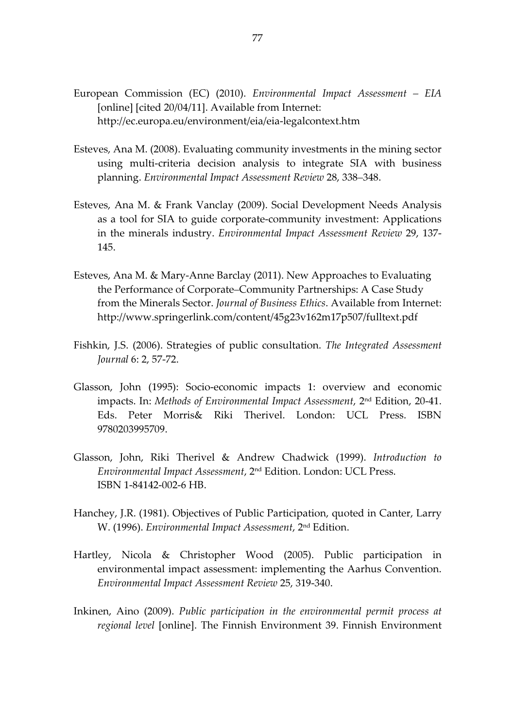- European Commission (EC) (2010). Environmental Impact Assessment EIA [online] [cited 20/04/11]. Available from Internet: http://ec.europa.eu/environment/eia/eia-legalcontext.htm
- Esteves, Ana M. (2008). Evaluating community investments in the mining sector using multi-criteria decision analysis to integrate SIA with business planning. Environmental Impact Assessment Review 28, 338–348.
- Esteves, Ana M. & Frank Vanclay (2009). Social Development Needs Analysis as a tool for SIA to guide corporate-community investment: Applications in the minerals industry. Environmental Impact Assessment Review 29, 137- 145.
- Esteves, Ana M. & Mary-Anne Barclay (2011). New Approaches to Evaluating the Performance of Corporate–Community Partnerships: A Case Study from the Minerals Sector. Journal of Business Ethics. Available from Internet: http://www.springerlink.com/content/45g23v162m17p507/fulltext.pdf
- Fishkin, J.S. (2006). Strategies of public consultation. The Integrated Assessment Journal 6: 2, 57-72.
- Glasson, John (1995): Socio-economic impacts 1: overview and economic impacts. In: Methods of Environmental Impact Assessment, 2<sup>nd</sup> Edition, 20-41. Eds. Peter Morris& Riki Therivel. London: UCL Press. ISBN 9780203995709.
- Glasson, John, Riki Therivel & Andrew Chadwick (1999). Introduction to Environmental Impact Assessment, 2nd Edition. London: UCL Press. ISBN 1-84142-002-6 HB.
- Hanchey, J.R. (1981). Objectives of Public Participation, quoted in Canter, Larry W. (1996). Environmental Impact Assessment, 2nd Edition.
- Hartley, Nicola & Christopher Wood (2005). Public participation in environmental impact assessment: implementing the Aarhus Convention. Environmental Impact Assessment Review 25, 319-340.
- Inkinen, Aino (2009). Public participation in the environmental permit process at regional level [online]. The Finnish Environment 39. Finnish Environment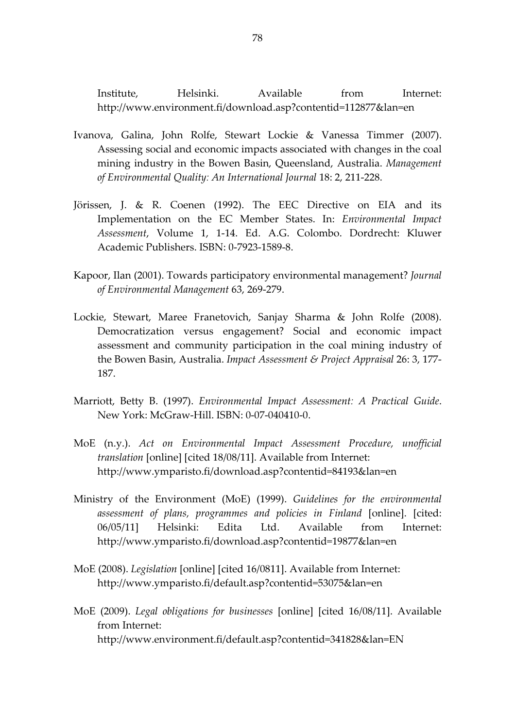Institute, Helsinki. Available from Internet: http://www.environment.fi/download.asp?contentid=112877&lan=en

- Ivanova, Galina, John Rolfe, Stewart Lockie & Vanessa Timmer (2007). Assessing social and economic impacts associated with changes in the coal mining industry in the Bowen Basin, Queensland, Australia. Management of Environmental Quality: An International Journal 18: 2, 211-228.
- Jörissen, J. & R. Coenen (1992). The EEC Directive on EIA and its Implementation on the EC Member States. In: Environmental Impact Assessment, Volume 1, 1-14. Ed. A.G. Colombo. Dordrecht: Kluwer Academic Publishers. ISBN: 0-7923-1589-8.
- Kapoor, Ilan (2001). Towards participatory environmental management? Journal of Environmental Management 63, 269-279.
- Lockie, Stewart, Maree Franetovich, Sanjay Sharma & John Rolfe (2008). Democratization versus engagement? Social and economic impact assessment and community participation in the coal mining industry of the Bowen Basin, Australia. Impact Assessment & Project Appraisal 26: 3, 177- 187.
- Marriott, Betty B. (1997). Environmental Impact Assessment: A Practical Guide. New York: McGraw-Hill. ISBN: 0-07-040410-0.
- MoE (n.y.). Act on Environmental Impact Assessment Procedure, unofficial translation [online] [cited 18/08/11]. Available from Internet: http://www.ymparisto.fi/download.asp?contentid=84193&lan=en
- Ministry of the Environment (MoE) (1999). Guidelines for the environmental assessment of plans, programmes and policies in Finland [online]. [cited: 06/05/11] Helsinki: Edita Ltd. Available from Internet: http://www.ymparisto.fi/download.asp?contentid=19877&lan=en
- MoE (2008). Legislation [online] [cited 16/0811]. Available from Internet: http://www.ymparisto.fi/default.asp?contentid=53075&lan=en
- MoE (2009). Legal obligations for businesses [online] [cited 16/08/11]. Available from Internet: http://www.environment.fi/default.asp?contentid=341828&lan=EN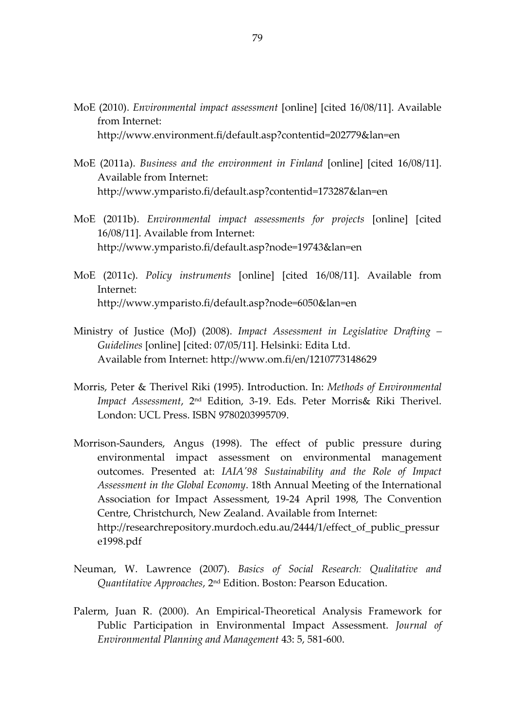- MoE (2010). Environmental impact assessment [online] [cited 16/08/11]. Available from Internet: http://www.environment.fi/default.asp?contentid=202779&lan=en
- MoE (2011a). Business and the environment in Finland [online] [cited 16/08/11]. Available from Internet: http://www.ymparisto.fi/default.asp?contentid=173287&lan=en
- MoE (2011b). Environmental impact assessments for projects [online] [cited 16/08/11]. Available from Internet: http://www.ymparisto.fi/default.asp?node=19743&lan=en
- MoE (2011c). Policy instruments [online] [cited 16/08/11]. Available from Internet: http://www.ymparisto.fi/default.asp?node=6050&lan=en
- Ministry of Justice (MoJ) (2008). Impact Assessment in Legislative Drafting Guidelines [online] [cited: 07/05/11]. Helsinki: Edita Ltd. Available from Internet: http://www.om.fi/en/1210773148629
- Morris, Peter & Therivel Riki (1995). Introduction. In: Methods of Environmental Impact Assessment, 2nd Edition, 3-19. Eds. Peter Morris& Riki Therivel. London: UCL Press. ISBN 9780203995709.
- Morrison-Saunders, Angus (1998). The effect of public pressure during environmental impact assessment on environmental management outcomes. Presented at: IAIA'98 Sustainability and the Role of Impact Assessment in the Global Economy. 18th Annual Meeting of the International Association for Impact Assessment, 19-24 April 1998, The Convention Centre, Christchurch, New Zealand. Available from Internet: http://researchrepository.murdoch.edu.au/2444/1/effect\_of\_public\_pressur e1998.pdf
- Neuman, W. Lawrence (2007). Basics of Social Research: Qualitative and Quantitative Approaches, 2nd Edition. Boston: Pearson Education.
- Palerm, Juan R. (2000). An Empirical-Theoretical Analysis Framework for Public Participation in Environmental Impact Assessment. Journal of Environmental Planning and Management 43: 5, 581-600.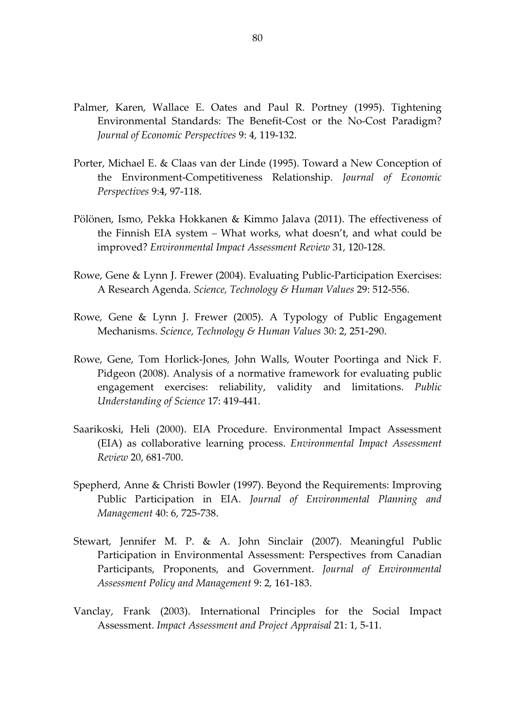- Palmer, Karen, Wallace E. Oates and Paul R. Portney (1995). Tightening Environmental Standards: The Benefit-Cost or the No-Cost Paradigm? Journal of Economic Perspectives 9: 4, 119-132.
- Porter, Michael E. & Claas van der Linde (1995). Toward a New Conception of the Environment-Competitiveness Relationship. Journal of Economic Perspectives 9:4, 97-118.
- Pölönen, Ismo, Pekka Hokkanen & Kimmo Jalava (2011). The effectiveness of the Finnish EIA system – What works, what doesn't, and what could be improved? Environmental Impact Assessment Review 31, 120-128.
- Rowe, Gene & Lynn J. Frewer (2004). Evaluating Public-Participation Exercises: A Research Agenda. Science, Technology & Human Values 29: 512-556.
- Rowe, Gene & Lynn J. Frewer (2005). A Typology of Public Engagement Mechanisms. Science, Technology & Human Values 30: 2, 251-290.
- Rowe, Gene, Tom Horlick-Jones, John Walls, Wouter Poortinga and Nick F. Pidgeon (2008). Analysis of a normative framework for evaluating public engagement exercises: reliability, validity and limitations. Public Understanding of Science 17: 419-441.
- Saarikoski, Heli (2000). EIA Procedure. Environmental Impact Assessment (EIA) as collaborative learning process. Environmental Impact Assessment Review 20, 681-700.
- Spepherd, Anne & Christi Bowler (1997). Beyond the Requirements: Improving Public Participation in EIA. Journal of Environmental Planning and Management 40: 6, 725-738.
- Stewart, Jennifer M. P. & A. John Sinclair (2007). Meaningful Public Participation in Environmental Assessment: Perspectives from Canadian Participants, Proponents, and Government. Journal of Environmental Assessment Policy and Management 9: 2, 161-183.
- Vanclay, Frank (2003). International Principles for the Social Impact Assessment. Impact Assessment and Project Appraisal 21: 1, 5-11.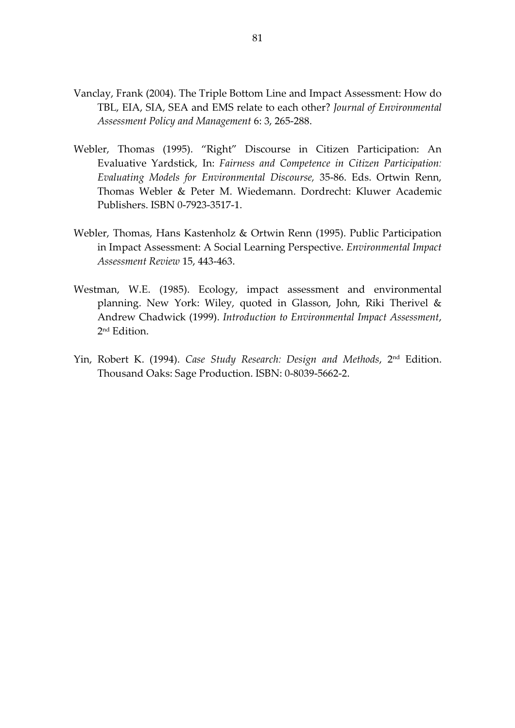- Vanclay, Frank (2004). The Triple Bottom Line and Impact Assessment: How do TBL, EIA, SIA, SEA and EMS relate to each other? Journal of Environmental Assessment Policy and Management 6: 3, 265-288.
- Webler, Thomas (1995). "Right" Discourse in Citizen Participation: An Evaluative Yardstick, In: Fairness and Competence in Citizen Participation: Evaluating Models for Environmental Discourse, 35-86. Eds. Ortwin Renn, Thomas Webler & Peter M. Wiedemann. Dordrecht: Kluwer Academic Publishers. ISBN 0-7923-3517-1.
- Webler, Thomas, Hans Kastenholz & Ortwin Renn (1995). Public Participation in Impact Assessment: A Social Learning Perspective. Environmental Impact Assessment Review 15, 443-463.
- Westman, W.E. (1985). Ecology, impact assessment and environmental planning. New York: Wiley, quoted in Glasson, John, Riki Therivel & Andrew Chadwick (1999). Introduction to Environmental Impact Assessment, 2 nd Edition.
- Yin, Robert K. (1994). Case Study Research: Design and Methods, 2<sup>nd</sup> Edition. Thousand Oaks: Sage Production. ISBN: 0-8039-5662-2.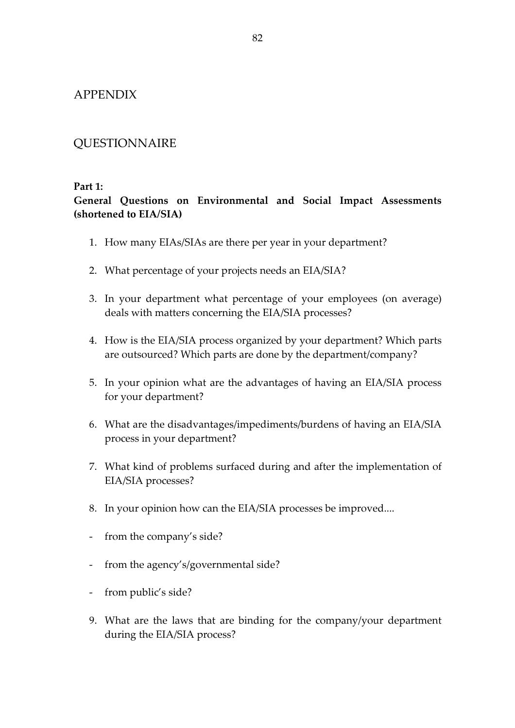### APPENDIX

# QUESTIONNAIRE

### Part 1:

## General Questions on Environmental and Social Impact Assessments (shortened to EIA/SIA)

- 1. How many EIAs/SIAs are there per year in your department?
- 2. What percentage of your projects needs an EIA/SIA?
- 3. In your department what percentage of your employees (on average) deals with matters concerning the EIA/SIA processes?
- 4. How is the EIA/SIA process organized by your department? Which parts are outsourced? Which parts are done by the department/company?
- 5. In your opinion what are the advantages of having an EIA/SIA process for your department?
- 6. What are the disadvantages/impediments/burdens of having an EIA/SIA process in your department?
- 7. What kind of problems surfaced during and after the implementation of EIA/SIA processes?
- 8. In your opinion how can the EIA/SIA processes be improved....
- from the company's side?
- from the agency's/governmental side?
- from public's side?
- 9. What are the laws that are binding for the company/your department during the EIA/SIA process?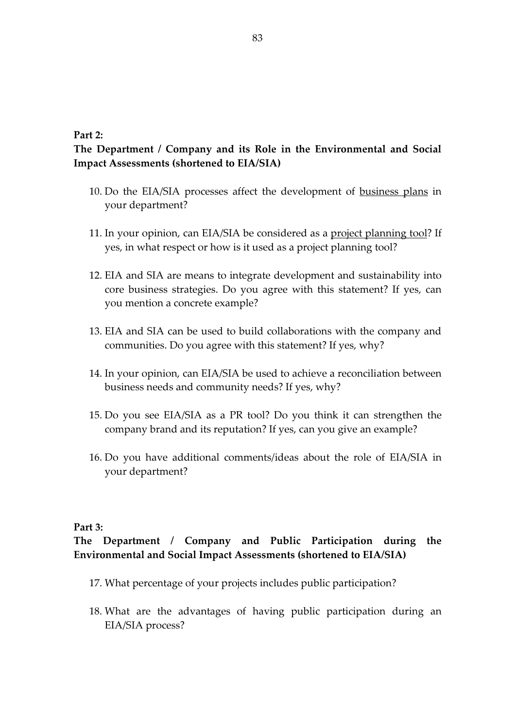#### Part 2:

## The Department / Company and its Role in the Environmental and Social Impact Assessments (shortened to EIA/SIA)

- 10. Do the EIA/SIA processes affect the development of business plans in your department?
- 11. In your opinion, can EIA/SIA be considered as a project planning tool? If yes, in what respect or how is it used as a project planning tool?
- 12. EIA and SIA are means to integrate development and sustainability into core business strategies. Do you agree with this statement? If yes, can you mention a concrete example?
- 13. EIA and SIA can be used to build collaborations with the company and communities. Do you agree with this statement? If yes, why?
- 14. In your opinion, can EIA/SIA be used to achieve a reconciliation between business needs and community needs? If yes, why?
- 15. Do you see EIA/SIA as a PR tool? Do you think it can strengthen the company brand and its reputation? If yes, can you give an example?
- 16. Do you have additional comments/ideas about the role of EIA/SIA in your department?

#### Part 3:

## The Department / Company and Public Participation during the Environmental and Social Impact Assessments (shortened to EIA/SIA)

- 17. What percentage of your projects includes public participation?
- 18. What are the advantages of having public participation during an EIA/SIA process?